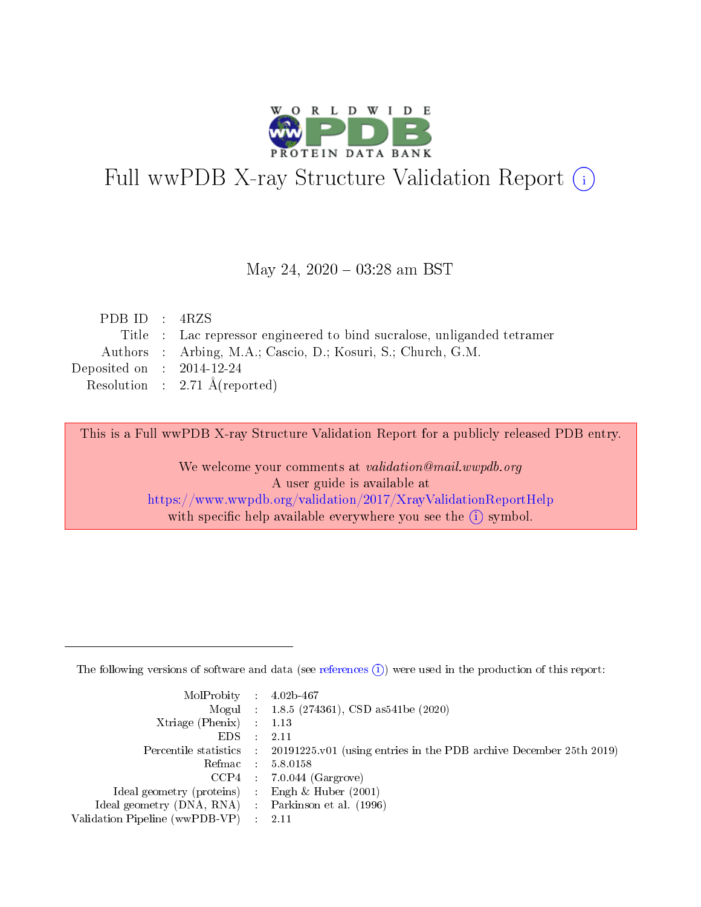

# Full wwPDB X-ray Structure Validation Report (i)

#### May 24,  $2020 - 03:28$  am BST

| PDB ID : $4RZS$             |                                                                         |
|-----------------------------|-------------------------------------------------------------------------|
|                             | Title : Lac repressor engineered to bind sucralose, unliganded tetramer |
|                             | Authors : Arbing, M.A.; Cascio, D.; Kosuri, S.; Church, G.M.            |
| Deposited on : $2014-12-24$ |                                                                         |
|                             | Resolution : $2.71 \text{ Å}$ (reported)                                |
|                             |                                                                         |

This is a Full wwPDB X-ray Structure Validation Report for a publicly released PDB entry.

We welcome your comments at validation@mail.wwpdb.org A user guide is available at <https://www.wwpdb.org/validation/2017/XrayValidationReportHelp> with specific help available everywhere you see the  $(i)$  symbol.

The following versions of software and data (see [references](https://www.wwpdb.org/validation/2017/XrayValidationReportHelp#references)  $(1)$ ) were used in the production of this report:

| MolProbity : $4.02b-467$                            |                                                                                            |
|-----------------------------------------------------|--------------------------------------------------------------------------------------------|
|                                                     | Mogul : $1.8.5$ (274361), CSD as 541be (2020)                                              |
| $Xtriangle (Phenix)$ : 1.13                         |                                                                                            |
| $EDS$ :                                             | -2.11                                                                                      |
|                                                     | Percentile statistics : 20191225.v01 (using entries in the PDB archive December 25th 2019) |
| Refmac : 5.8.0158                                   |                                                                                            |
|                                                     | $CCP4$ 7.0.044 (Gargrove)                                                                  |
| Ideal geometry (proteins) : Engh $\&$ Huber (2001)  |                                                                                            |
| Ideal geometry (DNA, RNA) : Parkinson et al. (1996) |                                                                                            |
| Validation Pipeline (wwPDB-VP) : 2.11               |                                                                                            |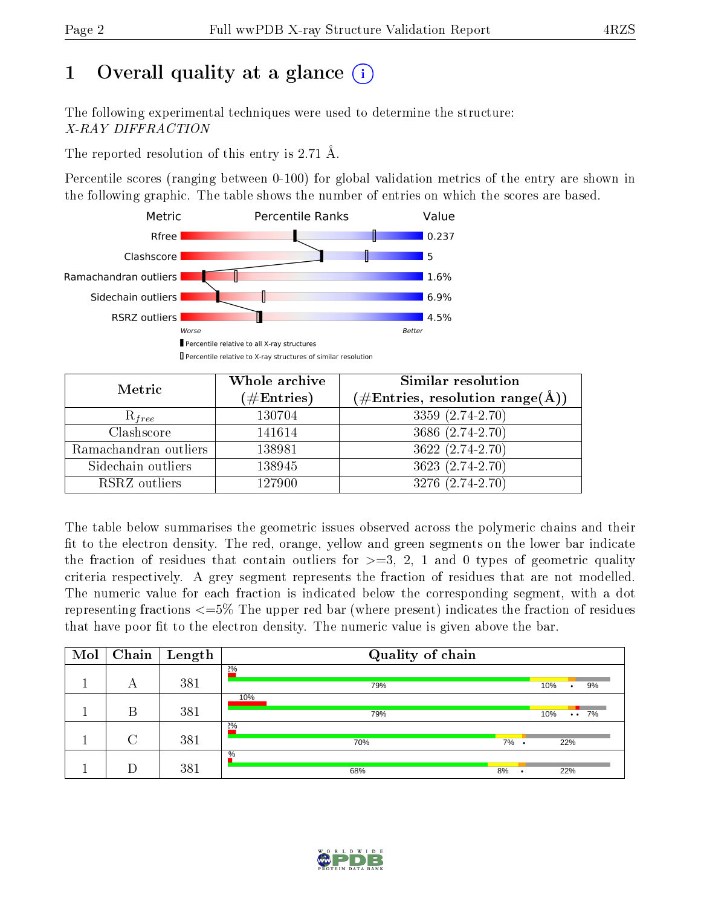# 1 [O](https://www.wwpdb.org/validation/2017/XrayValidationReportHelp#overall_quality)verall quality at a glance  $(i)$

The following experimental techniques were used to determine the structure: X-RAY DIFFRACTION

The reported resolution of this entry is 2.71 Å.

Percentile scores (ranging between 0-100) for global validation metrics of the entry are shown in the following graphic. The table shows the number of entries on which the scores are based.



| Metric                | Whole archive<br>$(\#\text{Entries})$ | Similar resolution<br>$(\#\text{Entries}, \text{resolution range}(\text{\AA}))$ |
|-----------------------|---------------------------------------|---------------------------------------------------------------------------------|
| $R_{free}$            | 130704                                | 3359 (2.74-2.70)                                                                |
| Clashscore            | 141614                                | 3686 (2.74-2.70)                                                                |
| Ramachandran outliers | 138981                                | $3622(2.74-2.70)$                                                               |
| Sidechain outliers    | 138945                                | 3623 (2.74-2.70)                                                                |
| RSRZ outliers         | 127900                                | 3276 (2.74-2.70)                                                                |

The table below summarises the geometric issues observed across the polymeric chains and their fit to the electron density. The red, orange, yellow and green segments on the lower bar indicate the fraction of residues that contain outliers for  $>=3, 2, 1$  and 0 types of geometric quality criteria respectively. A grey segment represents the fraction of residues that are not modelled. The numeric value for each fraction is indicated below the corresponding segment, with a dot representing fractions  $\epsilon=5\%$  The upper red bar (where present) indicates the fraction of residues that have poor fit to the electron density. The numeric value is given above the bar.

| Mol | Chain  | $\overline{\phantom{a}}$ Length | Quality of chain |    |           |          |                   |
|-----|--------|---------------------------------|------------------|----|-----------|----------|-------------------|
|     | А      | 381                             | $2\%$<br>79%     |    |           | 10%<br>٠ | 9%                |
|     | Β      | 381                             | 10%<br>79%       |    |           | 10%      | $\cdot \cdot 7\%$ |
|     | $\cap$ | 381                             | $2\%$<br>70%     | 7% | $\bullet$ | 22%      |                   |
|     |        | 381                             | $\%$<br>68%      | 8% | $\bullet$ | 22%      |                   |

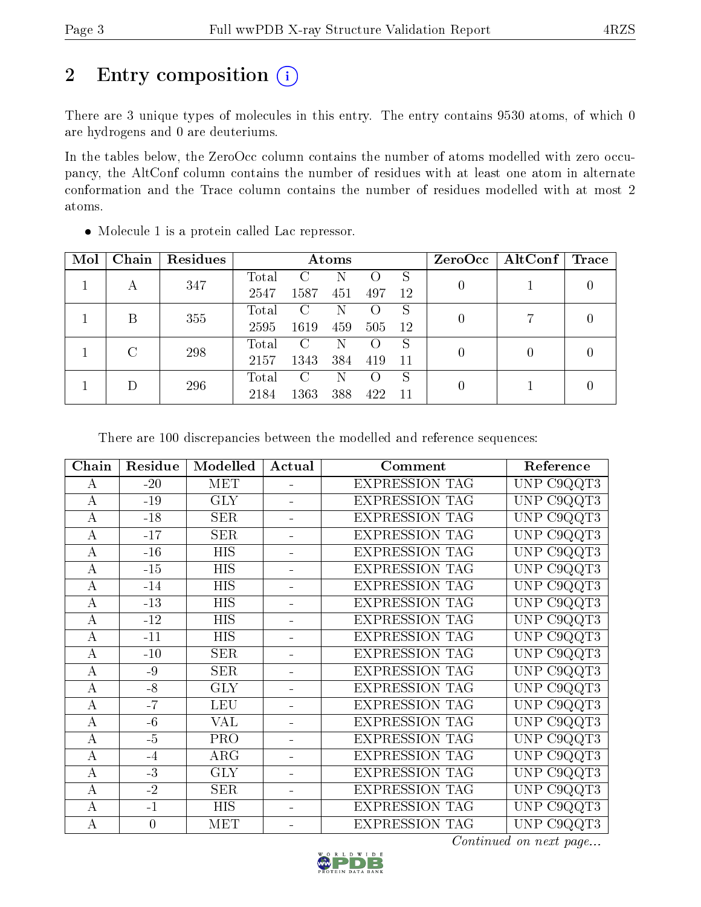# 2 Entry composition (i)

There are 3 unique types of molecules in this entry. The entry contains 9530 atoms, of which 0 are hydrogens and 0 are deuteriums.

In the tables below, the ZeroOcc column contains the number of atoms modelled with zero occupancy, the AltConf column contains the number of residues with at least one atom in alternate conformation and the Trace column contains the number of residues modelled with at most 2 atoms.

| Mol | Chain | Residues |                |               | Atoms |                    |     | ZeroOcc | $\operatorname{AltConf}$ | $\operatorname{Trace}$ |  |
|-----|-------|----------|----------------|---------------|-------|--------------------|-----|---------|--------------------------|------------------------|--|
|     | А     | 347      | Total          | C             |       |                    | S   |         |                          |                        |  |
|     |       |          | 2547           | 1587          | 451   | 497                | 12  | 0       |                          |                        |  |
|     | В     | 355      | Total          | $\rm C$       | N     | $\left( \ \right)$ | S   | 0       |                          |                        |  |
|     |       |          | 2595           | 1619          | 459   | 505                | -12 |         |                          |                        |  |
|     |       | 298      | $\text{Total}$ | $\mathcal{C}$ | N     |                    | S   | 0       |                          |                        |  |
|     |       | 2157     | 1343           | 384           | 419   | -11                |     |         |                          |                        |  |
|     |       | 296      | Total          | $\mathcal{C}$ | N     | $\left( \right)$   | S   |         |                          |                        |  |
|     |       | 2184     | 1363           | 388           | 422   | 11                 | 0   |         |                          |                        |  |

Molecule 1 is a protein called Lac repressor.

There are 100 discrepancies between the modelled and reference sequences:

| Chain            | Residue          | Modelled                | Actual                   | Comment               | Reference                                     |
|------------------|------------------|-------------------------|--------------------------|-----------------------|-----------------------------------------------|
| A                | $-20$            | <b>MET</b>              | ÷.                       | <b>EXPRESSION TAG</b> | UNP C9QQT3                                    |
| $\bf{A}$         | $-19$            | <b>GLY</b>              |                          | <b>EXPRESSION TAG</b> | UNP C9QQT3                                    |
| $\mathbf{A}$     | $-18$            | <b>SER</b>              | ÷.                       | <b>EXPRESSION TAG</b> | C9QQT3<br><b>UNP</b>                          |
| $\boldsymbol{A}$ | $-17$            | <b>SER</b>              | ÷.                       | <b>EXPRESSION TAG</b> | UNP C9QQT3                                    |
| $\bf{A}$         | $-16$            | <b>HIS</b>              |                          | <b>EXPRESSION TAG</b> | <b>UNP</b><br>C <sub>9</sub> QQT <sub>3</sub> |
| $\mathbf{A}$     | $-15$            | $\overline{HIS}$        | ÷.                       | <b>EXPRESSION TAG</b> | C9QQT3<br><b>UNP</b>                          |
| A                | $-14$            | <b>HIS</b>              |                          | <b>EXPRESSION TAG</b> | UNP C9QQT3                                    |
| $\boldsymbol{A}$ | $-13$            | <b>HIS</b>              |                          | <b>EXPRESSION TAG</b> | UNP C9QQT3                                    |
| $\bf{A}$         | $-12$            | <b>HIS</b>              | ÷.                       | <b>EXPRESSION TAG</b> | C9QQT3<br><b>UNP</b>                          |
| $\bf{A}$         | $-11$            | <b>HIS</b>              |                          | <b>EXPRESSION TAG</b> | UNP C9QQT3                                    |
| $\boldsymbol{A}$ | $-10$            | <b>SER</b>              | $\overline{\phantom{0}}$ | <b>EXPRESSION TAG</b> | UNP C9QQT3                                    |
| $\bf{A}$         | -9               | <b>SER</b>              | ÷.                       | <b>EXPRESSION TAG</b> | UNP C9QQT3                                    |
| $\boldsymbol{A}$ | $-8$             | <b>GLY</b>              | L.                       | <b>EXPRESSION TAG</b> | UNP C9QQT3                                    |
| $\bf{A}$         | $-7$             | <b>LEU</b>              |                          | <b>EXPRESSION TAG</b> | UNP C9QQT3                                    |
| $\mathbf{A}$     | $-6$             | <b>VAL</b>              | ÷.                       | <b>EXPRESSION TAG</b> | UNP C9QQT3                                    |
| $\boldsymbol{A}$ | $-5$             | <b>PRO</b>              |                          | <b>EXPRESSION TAG</b> | UNP C9QQT3                                    |
| $\bf{A}$         | $-4$             | ARG                     |                          | <b>EXPRESSION TAG</b> | C9QQT3<br>UNP                                 |
| $\mathbf{A}$     | $-3$             | $\overline{\text{GLY}}$ | ÷                        | <b>EXPRESSION TAG</b> | UNP<br>C9QQT3                                 |
| $\boldsymbol{A}$ | $-2$             | <b>SER</b>              | ÷.                       | <b>EXPRESSION TAG</b> | C9QQT3<br><b>UNP</b>                          |
| $\boldsymbol{A}$ | $-1$             | <b>HIS</b>              | $\blacksquare$           | <b>EXPRESSION TAG</b> | C9QQT3<br><b>UNP</b>                          |
| А                | $\boldsymbol{0}$ | <b>MET</b>              |                          | <b>EXPRESSION TAG</b> | UNP C9QQT3                                    |

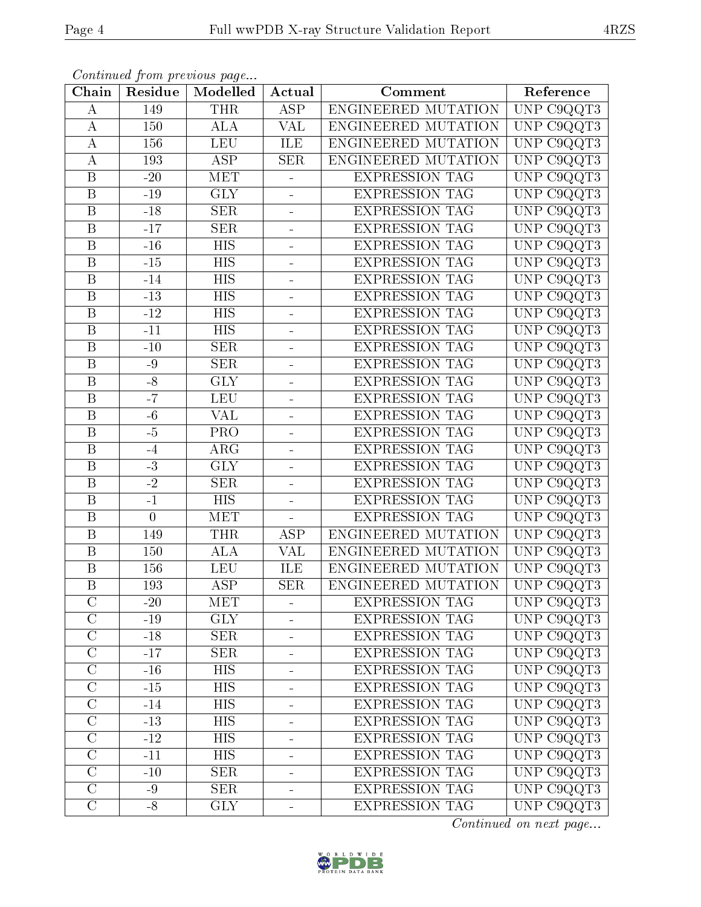|--|

| Chain                   | Residue          | Continued from previous page<br>Modelled | Actual                   | Comment               | Reference                      |
|-------------------------|------------------|------------------------------------------|--------------------------|-----------------------|--------------------------------|
| A                       | 149              | <b>THR</b>                               | <b>ASP</b>               | ENGINEERED MUTATION   | UNP C9QQT3                     |
| $\bf{A}$                | 150              | <b>ALA</b>                               | <b>VAL</b>               | ENGINEERED MUTATION   | UNP C9QQT3                     |
| $\boldsymbol{A}$        | 156              | <b>LEU</b>                               | ILE                      | ENGINEERED MUTATION   | UNP C9QQT3                     |
| $\bf{A}$                | 193              | <b>ASP</b>                               | <b>SER</b>               | ENGINEERED MUTATION   | UNP C9QQT3                     |
| $\overline{\mathbf{B}}$ | $-20$            | <b>MET</b>                               | ÷                        | <b>EXPRESSION TAG</b> | UNP C9QQT3                     |
| $\mathbf B$             | $-19$            | <b>GLY</b>                               | ÷                        | <b>EXPRESSION TAG</b> | UNP C9QQT3                     |
| $\boldsymbol{B}$        | $-18$            | <b>SER</b>                               | $\equiv$                 | <b>EXPRESSION TAG</b> | UNP C9QQT3                     |
| $\overline{\mathbf{B}}$ | $-17$            | <b>SER</b>                               | ÷                        | <b>EXPRESSION TAG</b> | UNP C9QQT3                     |
| $\overline{B}$          | $-16$            | <b>HIS</b>                               | $\overline{a}$           | <b>EXPRESSION TAG</b> | UNP C9QQT3                     |
| $\boldsymbol{B}$        | $-15$            | <b>HIS</b>                               | $\overline{a}$           | <b>EXPRESSION TAG</b> | UNP C9QQT3                     |
| $\mathbf B$             | $-14$            | <b>HIS</b>                               | $\frac{1}{2}$            | <b>EXPRESSION TAG</b> | UNP C9QQT3                     |
| $\overline{\mathrm{B}}$ | $-13$            | $\overline{HIS}$                         | ÷                        | <b>EXPRESSION TAG</b> | UNP C9QQT3                     |
| $\boldsymbol{B}$        | $-12$            | <b>HIS</b>                               | ÷                        | <b>EXPRESSION TAG</b> | UNP C9QQT3                     |
| $\overline{B}$          | $-11$            | <b>HIS</b>                               | $\overline{\phantom{0}}$ | <b>EXPRESSION TAG</b> | UNP C9QQT3                     |
| $\overline{B}$          | $-10$            | <b>SER</b>                               | ÷                        | <b>EXPRESSION TAG</b> | UNP C9QQT3                     |
| $\overline{B}$          | $-9$             | <b>SER</b>                               | ÷                        | <b>EXPRESSION TAG</b> | UNP C9QQT3                     |
| $\overline{\mathrm{B}}$ | $-\sqrt{8}$      | $\overline{\text{GLY}}$                  | ÷                        | <b>EXPRESSION TAG</b> | UNP C9QQT3                     |
| $\overline{B}$          | $-7$             | <b>LEU</b>                               |                          | <b>EXPRESSION TAG</b> | $\overline{\text{UNP}}$ C9QQT3 |
| $\boldsymbol{B}$        | $-6$             | <b>VAL</b>                               | ÷                        | <b>EXPRESSION TAG</b> | UNP C9QQT3                     |
| $\overline{B}$          | $-5$             | PRO                                      | $\overline{a}$           | <b>EXPRESSION TAG</b> | UNP C9QQT3                     |
| $\overline{B}$          | $-4$             | $\rm{ARG}$                               | $\overline{a}$           | <b>EXPRESSION TAG</b> | $\overline{\text{UNP}}$ C9QQT3 |
| $\overline{\mathrm{B}}$ | $-3$             | <b>GLY</b>                               | ÷,                       | <b>EXPRESSION TAG</b> | UNP C9QQT3                     |
| $\mathbf B$             | $-2$             | <b>SER</b>                               | ÷                        | <b>EXPRESSION TAG</b> | UNP C9QQT3                     |
| $\overline{\mathrm{B}}$ | $-1$             | $\overline{HIS}$                         | $\overline{\phantom{0}}$ | <b>EXPRESSION TAG</b> | UNP C9QQT3                     |
| $\boldsymbol{B}$        | $\boldsymbol{0}$ | <b>MET</b>                               | $\blacksquare$           | <b>EXPRESSION TAG</b> | UNP C9QQT3                     |
| B                       | 149              | <b>THR</b>                               | <b>ASP</b>               | ENGINEERED MUTATION   | UNP C9QQT3                     |
| B                       | 150              | <b>ALA</b>                               | <b>VAL</b>               | ENGINEERED MUTATION   | UNP C9QQT3                     |
| B                       | 156              | LEU                                      | ILE                      | ENGINEERED MUTATION   | UNP C9QQT3                     |
| $\overline{\mathrm{B}}$ | 193              | $\overline{\text{ASP}}$                  | <b>SER</b>               | ENGINEERED MUTATION   | UNP C9QQT3                     |
| $\mathcal{C}$           | $-20$            | <b>MET</b>                               | ÷.                       | <b>EXPRESSION TAG</b> | UNP C9QQT3                     |
| $\overline{\rm C}$      | $-19$            | <b>GLY</b>                               |                          | <b>EXPRESSION TAG</b> | UNP C9QQT3                     |
| $\overline{\rm C}$      | $-18$            | <b>SER</b>                               | ÷                        | <b>EXPRESSION TAG</b> | UNP C9QQT3                     |
| $\mathcal{C}$           | $-17$            | <b>SER</b>                               | ÷                        | <b>EXPRESSION TAG</b> | UNP C9QQT3                     |
| $\overline{C}$          | $-16$            | <b>HIS</b>                               | $\blacksquare$           | <b>EXPRESSION TAG</b> | UNP C9QQT3                     |
| $\overline{C}$          | $\mbox{-}15$     | <b>HIS</b>                               | -                        | <b>EXPRESSION TAG</b> | UNP C9QQT3                     |
| $\overline{C}$          | $-14$            | $\overline{HIS}$                         | ÷                        | <b>EXPRESSION TAG</b> | UNP C9QQT3                     |
| $\overline{\rm C}$      | $-13$            | <b>HIS</b>                               | ÷                        | <b>EXPRESSION TAG</b> | UNP C9QQT3                     |
| $\mathcal{C}$           | $-12$            | <b>HIS</b>                               | ÷                        | <b>EXPRESSION TAG</b> | UNP C9QQT3                     |
| $\overline{C}$          | $-11$            | $\overline{HIS}$                         | $\overline{a}$           | <b>EXPRESSION TAG</b> | UNP C9QQT3                     |
| $\overline{C}$          | $-10$            | <b>SER</b>                               | $\blacksquare$           | <b>EXPRESSION TAG</b> | UNP C9QQT3                     |
| $\overline{\rm C}$      | $-9$             | $\overline{\text{SER}}$                  | -                        | <b>EXPRESSION TAG</b> | UNP C9QQT3                     |
| $\mathcal C$            | $-8$             | <b>GLY</b>                               | ÷                        | <b>EXPRESSION TAG</b> | UNP C9QQT3                     |

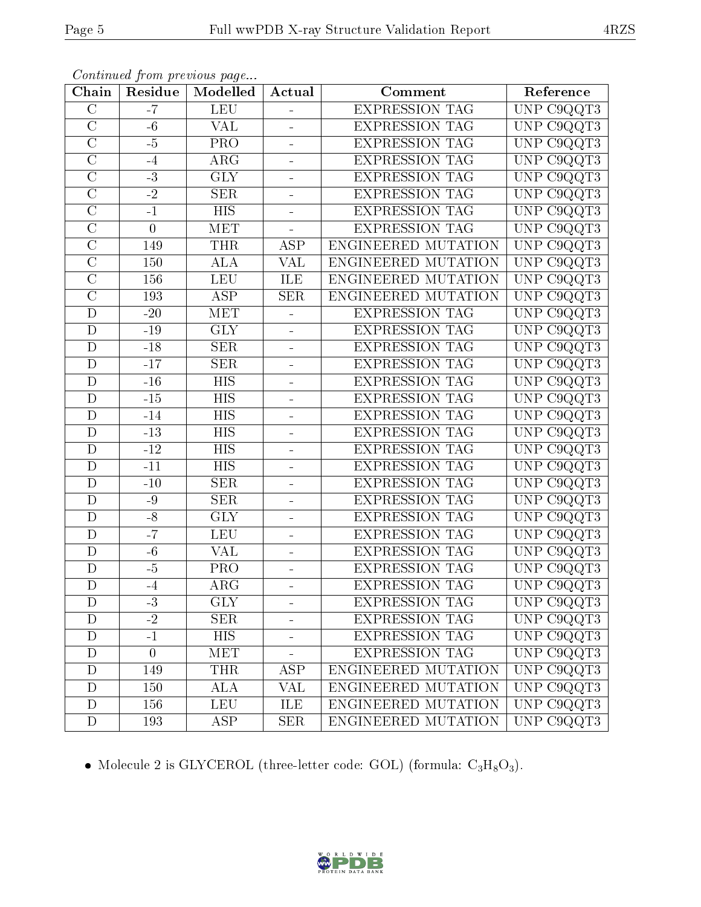| Chain                   | Residue        | Continueu from previous page<br>Modelled | Actual                   | Comment               | Reference                      |
|-------------------------|----------------|------------------------------------------|--------------------------|-----------------------|--------------------------------|
| $\overline{C}$          | $-7$           | <b>LEU</b>                               |                          | <b>EXPRESSION TAG</b> | UNP C9QQT3                     |
| $\overline{C}$          | $-6$           | <b>VAL</b>                               | $\blacksquare$           | <b>EXPRESSION TAG</b> | UNP C9QQT3                     |
| $\overline{\rm C}$      | $-5$           | PRO                                      | $\frac{1}{2}$            | <b>EXPRESSION TAG</b> | UNP C9QQT3                     |
| $\overline{\text{C}}$   | $-4$           | ARG                                      | $\overline{a}$           | <b>EXPRESSION TAG</b> | UNP C9QQT3                     |
| $\overline{\rm C}$      | $-3$           | $\overline{\text{GLY}}$                  | $\equiv$                 | <b>EXPRESSION TAG</b> | UNP C9QQT3                     |
| $\overline{\rm C}$      | $-2$           | <b>SER</b>                               | $\overline{\phantom{0}}$ | <b>EXPRESSION TAG</b> | UNP C9QQT3                     |
| $\overline{C}$          | $-1$           | <b>HIS</b>                               | $\blacksquare$           | <b>EXPRESSION TAG</b> | UNP C9QQT3                     |
| $\overline{\rm C}$      | $\overline{0}$ | <b>MET</b>                               |                          | <b>EXPRESSION TAG</b> | UNP C9QQT3                     |
| $\overline{C}$          | 149            | <b>THR</b>                               | $\overline{\text{ASP}}$  | ENGINEERED MUTATION   | UNP C9QQT3                     |
| $\overline{\rm C}$      | 150            | $\overline{ALA}$                         | $\overline{\text{VAL}}$  | ENGINEERED MUTATION   | UNP C9QQT3                     |
| $\overline{C}$          | 156            | <b>LEU</b>                               | ILE                      | ENGINEERED MUTATION   | $\overline{\text{UNP}}$ C9QQT3 |
| $\overline{\rm C}$      | 193            | $\overline{\text{ASP}}$                  | $\overline{\text{SER}}$  | ENGINEERED MUTATION   | UNP C9QQT3                     |
| $\overline{D}$          | $-20$          | <b>MET</b>                               | ÷,                       | <b>EXPRESSION TAG</b> | UNP C9QQT3                     |
| $\overline{D}$          | $-19$          | <b>GLY</b>                               | $\overline{a}$           | <b>EXPRESSION TAG</b> | UNP C9QQT3                     |
| $\mathbf D$             | $-18$          | <b>SER</b>                               | ÷                        | <b>EXPRESSION TAG</b> | UNP C9QQT3                     |
| D                       | $-17$          | <b>SER</b>                               |                          | <b>EXPRESSION TAG</b> | UNP C9QQT3                     |
| $\overline{\mathrm{D}}$ | $-16$          | $\overline{HIS}$                         | ÷,                       | <b>EXPRESSION TAG</b> | UNP C9QQT3                     |
| D                       | $-15$          | <b>HIS</b>                               | $\blacksquare$           | <b>EXPRESSION TAG</b> | UNP C9QQT3                     |
| $\mathbf D$             | $-14$          | <b>HIS</b>                               | $\blacksquare$           | <b>EXPRESSION TAG</b> | UNP C9QQT3                     |
| $\mathbf D$             | $-13$          | <b>HIS</b>                               | $\overline{\phantom{0}}$ | <b>EXPRESSION TAG</b> | UNP C9QQT3                     |
| $\mathbf D$             | $-12$          | <b>HIS</b>                               | $\blacksquare$           | <b>EXPRESSION TAG</b> | UNP C9QQT3                     |
| $\mathbf D$             | $-11$          | $\overline{HIS}$                         | $\frac{1}{2}$            | <b>EXPRESSION TAG</b> | UNP C9QQT3                     |
| $\mathbf D$             | $-10$          | <b>SER</b>                               | $\blacksquare$           | <b>EXPRESSION TAG</b> | UNP C9QQT3                     |
| $\mathbf D$             | $-9$           | SER                                      | $\frac{1}{2}$            | <b>EXPRESSION TAG</b> | UNP C9QQT3                     |
| $\mathbf D$             | $-8$           | <b>GLY</b>                               | $\overline{\phantom{0}}$ | <b>EXPRESSION TAG</b> | UNP C9QQT3                     |
| D                       | $-7$           | <b>LEU</b>                               | $\blacksquare$           | <b>EXPRESSION TAG</b> | UNP C9QQT3                     |
| $\overline{\rm D}$      | $-6$           | <b>VAL</b>                               | $\equiv$                 | <b>EXPRESSION TAG</b> | UNP C9QQT3                     |
| $\mathbf D$             | $-5$           | PRO                                      | $\blacksquare$           | <b>EXPRESSION TAG</b> | UNP C9QQT3                     |
| $\overline{\text{D}}$   | $-4$           | $\overline{\text{ARG}}$                  | $\overline{\phantom{0}}$ | <b>EXPRESSION TAG</b> | UNP C9QQT3                     |
| $\mathbf D$             | $-3$           | <b>GLY</b>                               | $\blacksquare$           | <b>EXPRESSION TAG</b> | UNP C9QQT3                     |
| $\mathbf D$             | $-2$           | <b>SER</b>                               |                          | <b>EXPRESSION TAG</b> | UNP C9QQT3                     |
| $\overline{D}$          | $-1$           | $\overline{HIS}$                         | ۳                        | <b>EXPRESSION TAG</b> | UNP C9QQT3                     |
| $\overline{D}$          | $\overline{0}$ | <b>MET</b>                               |                          | <b>EXPRESSION TAG</b> | UNP C9QQT3                     |
| ${\rm D}$               | 149            | <b>THR</b>                               | <b>ASP</b>               | ENGINEERED MUTATION   | UNP C9QQT3                     |
| $\mathbf D$             | $150\,$        | <b>ALA</b>                               | VAL                      | ENGINEERED MUTATION   | UNP C9QQT3                     |
| $\mathbf D$             | 156            | <b>LEU</b>                               | ILE                      | ENGINEERED MUTATION   | UNP C9QQT3                     |
| $\overline{D}$          | 193            | <b>ASP</b>                               | <b>SER</b>               | ENGINEERED MUTATION   | UNP C9QQT3                     |

 $\bullet$  Molecule 2 is GLYCEROL (three-letter code: GOL) (formula:  $\rm{C_3H_8O_3}).$ 

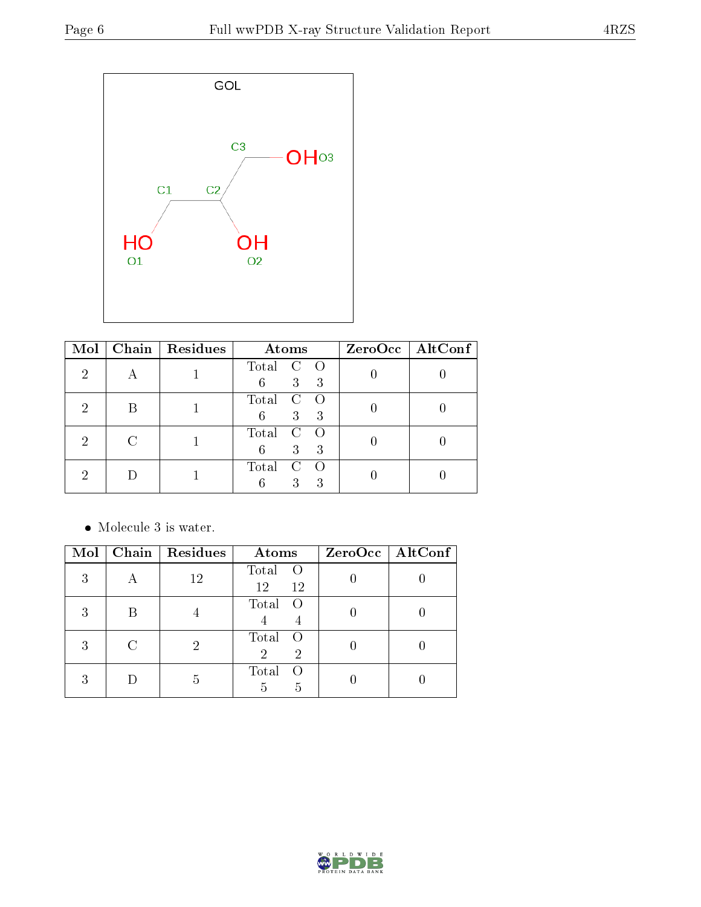

| Mol |   | Chain   Residues | Atoms                                     | ZeroOcc   AltConf |
|-----|---|------------------|-------------------------------------------|-------------------|
| 2   |   |                  | Total C<br>$\overline{O}$<br>3<br>6<br>-3 |                   |
| '2  | В |                  | Total<br>$\mathcal{C}$<br>3<br>3<br>6     |                   |
| 2   |   |                  | Total<br>C<br>3<br>3<br>6                 |                   |
|     |   |                  | Total<br>C<br>3<br>3                      |                   |

• Molecule 3 is water.

| Mol | Chain   Residues | Atoms                               | $ZeroOcc$   AltConf |
|-----|------------------|-------------------------------------|---------------------|
| 3   | 12               | Total<br>$\overline{O}$<br>12<br>12 |                     |
| 3   |                  | Total<br>$\bigcirc$                 |                     |
| 3   |                  | Total<br>- O<br>$\overline{2}$<br>2 |                     |
| 3   | h                | Total<br>5<br>5                     |                     |

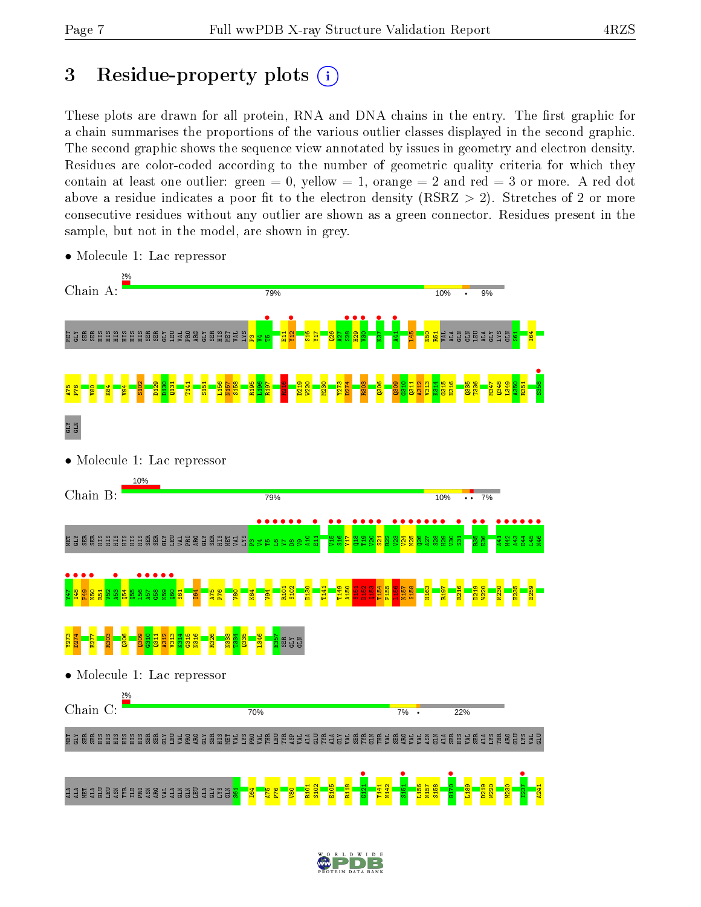# 3 Residue-property plots  $(i)$

These plots are drawn for all protein, RNA and DNA chains in the entry. The first graphic for a chain summarises the proportions of the various outlier classes displayed in the second graphic. The second graphic shows the sequence view annotated by issues in geometry and electron density. Residues are color-coded according to the number of geometric quality criteria for which they contain at least one outlier: green  $= 0$ , yellow  $= 1$ , orange  $= 2$  and red  $= 3$  or more. A red dot above a residue indicates a poor fit to the electron density (RSRZ  $> 2$ ). Stretches of 2 or more consecutive residues without any outlier are shown as a green connector. Residues present in the sample, but not in the model, are shown in grey.



• Molecule 1: Lac repressor

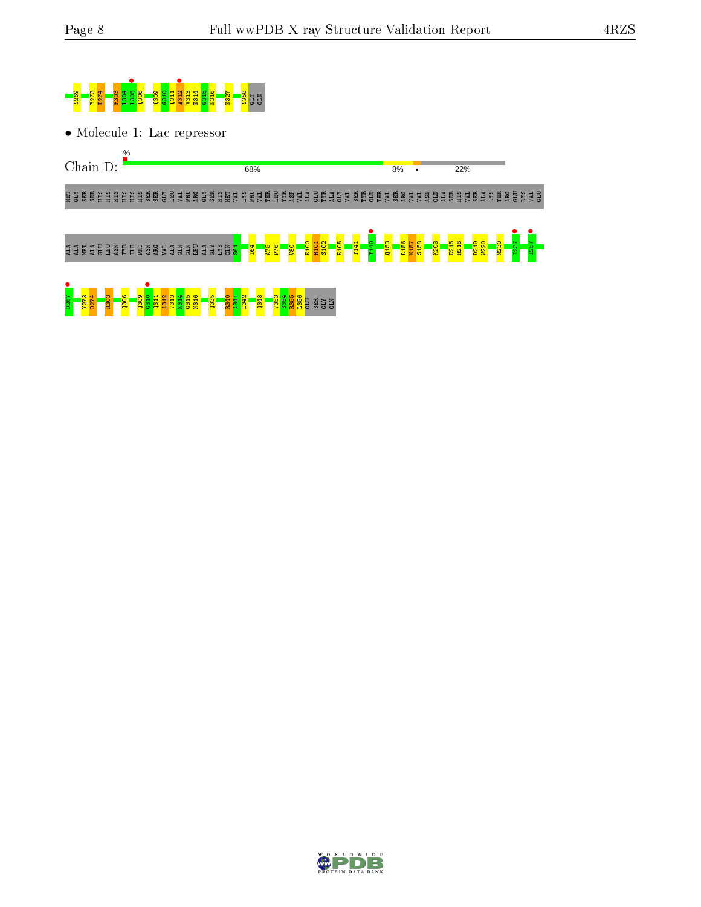

• Molecule 1: Lac repressor



MET GLY SER SER HIS HIS HIS HIS HIS HIS SER SER GLY LEU VAL PRO ARG GLY SER HIS MET VAL LYS PRO VAL THR LEU TYR ASP VAL ALA GLU TYR ALA GLY VAL SER TYR GLN THR VAL SER ARG VAL VAL ASN GLN ALA SER HIS VAL SER ALA LYS THR ARG GLU LYS VAL GLU

#### ALA ALA MET ALA GLU LEU ASN TYR ILE PRO ASN ARG VAL ALA GLN GLN LEU ALA GLY E<br>Si<br>Si  $\frac{5}{1}$ I64 A75 P76  $\frac{1}{2}$ E100 R101 S102 E105 T141 **•**<br>T149 Q153 L156 N157 S158 K203 E215 R216 D219 W220 M230 **1237** I257 •



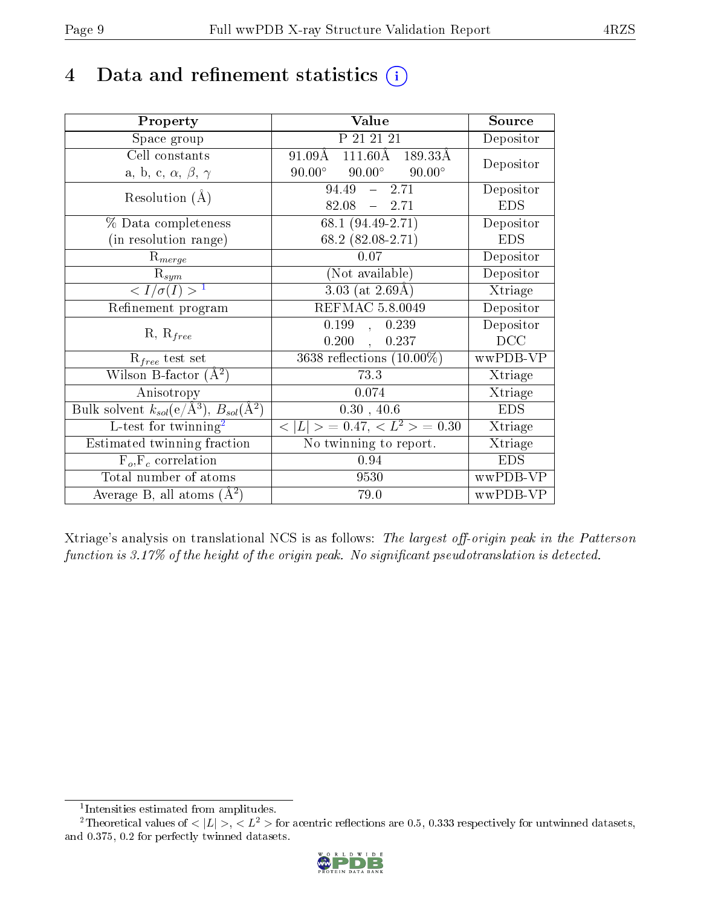# 4 Data and refinement statistics  $(i)$

| Property                                                         | Value                                             | Source     |
|------------------------------------------------------------------|---------------------------------------------------|------------|
| Space group                                                      | P 21 21 21                                        | Depositor  |
| Cell constants                                                   | $91.09\AA$ $111.60\AA$ $189.33\AA$                | Depositor  |
| a, b, c, $\alpha$ , $\beta$ , $\gamma$                           | $90.00^\circ$<br>$90.00^\circ$<br>$90.00^{\circ}$ |            |
| Resolution $(A)$                                                 | 94.49<br>$-2.71$                                  | Depositor  |
|                                                                  | $82.08 - 2.71$                                    | <b>EDS</b> |
| $\%$ Data completeness                                           | $68.1 (94.49 - 2.71)$                             | Depositor  |
| (in resolution range)                                            | 68.2 $(82.08-2.71)$                               | <b>EDS</b> |
| $R_{merge}$                                                      | 0.07                                              | Depositor  |
| $\mathrm{R}_{sym}$                                               | (Not available)                                   | Depositor  |
| $\langle I/\sigma(I) \rangle^{-1}$                               | $3.03$ (at $2.69\text{\AA}$ )                     | Xtriage    |
| Refinement program                                               | <b>REFMAC 5.8.0049</b>                            | Depositor  |
|                                                                  | 0.199,<br>0.239                                   | Depositor  |
| $R, R_{free}$                                                    | 0.200,<br>0.237                                   | DCC        |
| $R_{free}$ test set                                              | 3638 reflections $(10.00\%)$                      | wwPDB-VP   |
| Wilson B-factor $(A^2)$                                          | 73.3                                              | Xtriage    |
| Anisotropy                                                       | 0.074                                             | Xtriage    |
| Bulk solvent $k_{sol}(\text{e}/\text{A}^3), B_{sol}(\text{A}^2)$ | 0.30, 40.6                                        | <b>EDS</b> |
| L-test for $\mathrm{twinning}^2$                                 | $< L >$ = 0.47, $< L2 >$ = 0.30                   | Xtriage    |
| Estimated twinning fraction                                      | No twinning to report.                            | Xtriage    |
| $\overline{F_o}, \overline{F_c}$ correlation                     | 0.94                                              | <b>EDS</b> |
| Total number of atoms                                            | 9530                                              | wwPDB-VP   |
| Average B, all atoms $(A^2)$                                     | 79.0                                              | wwPDB-VP   |

Xtriage's analysis on translational NCS is as follows: The largest off-origin peak in the Patterson function is  $3.17\%$  of the height of the origin peak. No significant pseudotranslation is detected.

<sup>&</sup>lt;sup>2</sup>Theoretical values of  $\langle |L| \rangle$ ,  $\langle L^2 \rangle$  for acentric reflections are 0.5, 0.333 respectively for untwinned datasets, and 0.375, 0.2 for perfectly twinned datasets.



<span id="page-8-1"></span><span id="page-8-0"></span><sup>1</sup> Intensities estimated from amplitudes.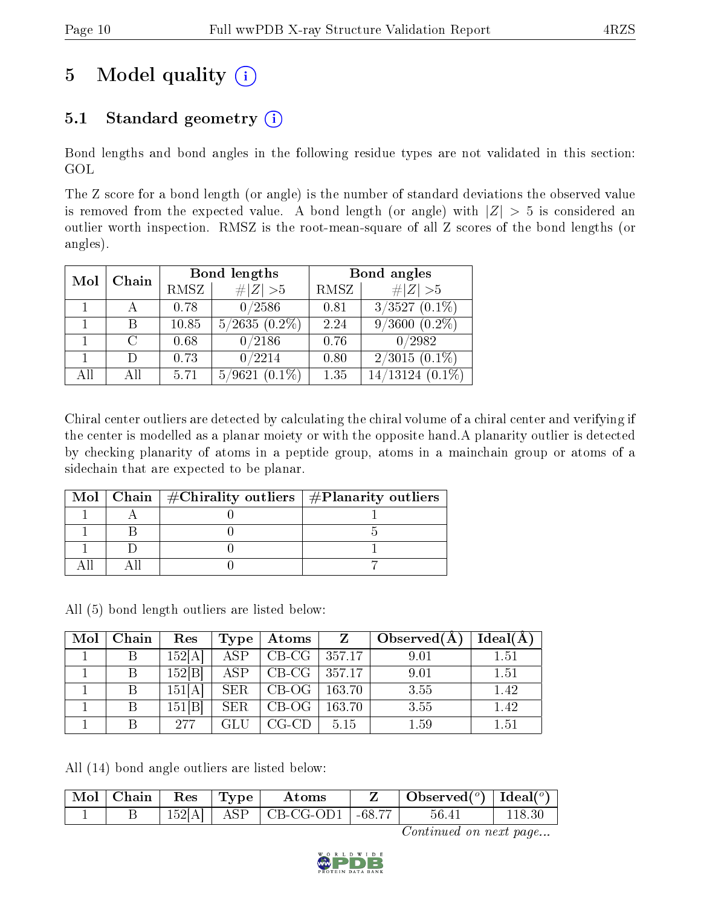# 5 Model quality  $(i)$

### 5.1 Standard geometry  $(i)$

Bond lengths and bond angles in the following residue types are not validated in this section: GOL

The Z score for a bond length (or angle) is the number of standard deviations the observed value is removed from the expected value. A bond length (or angle) with  $|Z| > 5$  is considered an outlier worth inspection. RMSZ is the root-mean-square of all Z scores of the bond lengths (or angles).

| Mol | Chain  |       | Bond lengths        |      | Bond angles                   |
|-----|--------|-------|---------------------|------|-------------------------------|
|     |        | RMSZ  | # $ Z >5$           | RMSZ | # $ Z >5$                     |
|     |        | 0.78  | 0/2586              | 0.81 | $3/3527$ $(0.\overline{1\%})$ |
|     | В      | 10.85 | $5/2635(0.2\%)$     | 2.24 | $9/3600(0.2\%)$               |
|     | $\cap$ | 0.68  | 0/2186              | 0.76 | 0/2982                        |
|     | $\Box$ | 0.73  | 0/2214              | 0.80 | $2/3015(0.1\%)$               |
| AĦ  | All    | 5.71  | 5/9621<br>$(0.1\%)$ | 1.35 | 14/13124<br>$(0.1\%)$         |

Chiral center outliers are detected by calculating the chiral volume of a chiral center and verifying if the center is modelled as a planar moiety or with the opposite hand.A planarity outlier is detected by checking planarity of atoms in a peptide group, atoms in a mainchain group or atoms of a sidechain that are expected to be planar.

|  | Mol   Chain   $\#\text{Chirality outliers}$   $\#\text{Planarity outliers}$ |
|--|-----------------------------------------------------------------------------|
|  |                                                                             |
|  |                                                                             |
|  |                                                                             |
|  |                                                                             |

All (5) bond length outliers are listed below:

| Mol | Chain | Res   | Type                 | Atoms   | Z      | Observed $(A)$ | Ideal(A) |
|-----|-------|-------|----------------------|---------|--------|----------------|----------|
|     | В     | 152[A | $\operatorname{ASP}$ | $CB-CG$ | 357.17 | 9.01           | 1.51     |
|     | В     | 152 B | ASP                  | $CB-CG$ | 357.17 | 9.01           | 1.51     |
|     | B     | 151[A | <b>SER</b>           | $CB-OG$ | 163.70 | 3.55           | 1.42     |
|     | Β     | 151 B | <b>SER</b>           | CB-OG   | 163.70 | 3.55           | 1.42     |
|     |       | 277   |                      | CG-CD   | 5.15   | 1.59           | 1.51     |

All (14) bond angle outliers are listed below:

| ' Mol - | $\parallel$ Chain $\parallel$ Res |        | $\sim$   Type $\perp$ | Atoms                                        | Observed( $^o$ )   Ideal( $^o$ ) |  |
|---------|-----------------------------------|--------|-----------------------|----------------------------------------------|----------------------------------|--|
|         |                                   | 152[A] |                       | $\vert$ ASP $\vert$ CB-CG-OD1 $\vert$ -68.77 | $56.41\,$                        |  |

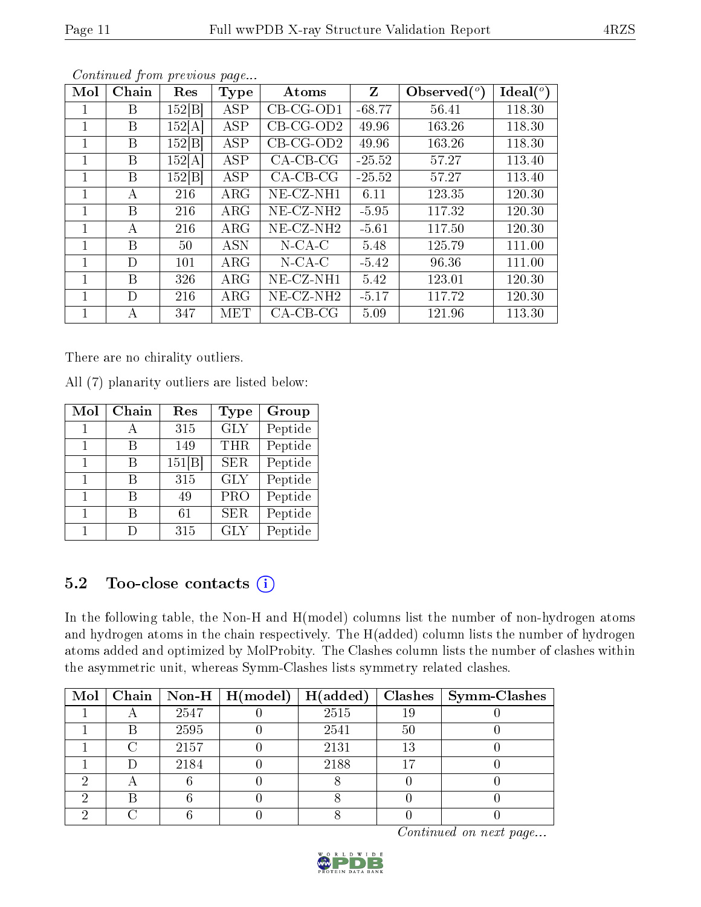| Mol | Chain | Res    | <b>Type</b> | Atoms        | Z        | Observed $(°)$ | Ideal $(^\circ)$ |
|-----|-------|--------|-------------|--------------|----------|----------------|------------------|
|     | Β     | 152 B  | <b>ASP</b>  | $CB-CG-OD1$  | $-68.77$ | 56.41          | 118.30           |
|     | Β     | 152[A] | <b>ASP</b>  | $CB-CG-OD2$  | 49.96    | 163.26         | 118.30           |
| 1   | Β     | 152 B  | ASP         | $CB-CG-OD2$  | 49.96    | 163.26         | 118.30           |
|     | Β     | 152[A] | ASP         | $CA-CB-CG$   | $-25.52$ | 57.27          | 113.40           |
| 1   | B     | 152 B  | <b>ASP</b>  | $CA-CB-CG$   | $-25.52$ | 57.27          | 113.40           |
| 1   | А     | 216    | $\rm{ARG}$  | $NE- CZ-NH1$ | 6.11     | 123.35         | 120.30           |
|     | B     | 216    | $\rm{ARG}$  | $NE- CZ-NH2$ | $-5.95$  | 117.32         | 120.30           |
| 1   | А     | 216    | $\rm{ARG}$  | $NE-CZ-NH2$  | $-5.61$  | 117.50         | 120.30           |
| 1   | В     | 50     | <b>ASN</b>  | $N$ -CA-C    | 5.48     | 125.79         | 111.00           |
|     | D     | 101    | $\rm{ARG}$  | $N$ -CA-C    | $-5.42$  | 96.36          | 111.00           |
| 1   | В     | 326    | $\rm{ARG}$  | $NE-CZ-NH1$  | 5.42     | 123.01         | 120.30           |
|     | D     | 216    | $\rm{ARG}$  | $NE-CZ-NH2$  | $-5.17$  | 117.72         | 120.30           |
|     | A     | 347    | MET         | $CA-CB-CG$   | 5.09     | 121.96         | 113.30           |

There are no chirality outliers.

All (7) planarity outliers are listed below:

| Mol | Chain | Res   | Type       | Group   |
|-----|-------|-------|------------|---------|
|     |       | 315   | <b>GLY</b> | Peptide |
|     | В     | 149   | <b>THR</b> | Peptide |
|     | В     | 151 B | SER.       | Peptide |
| 1   | В     | 315   | <b>GLY</b> | Peptide |
| 1   | В     | 49    | <b>PRO</b> | Peptide |
|     | В     | 61    | <b>SER</b> | Peptide |
|     |       | 315   | <b>GLY</b> | Peptide |

### 5.2 Too-close contacts  $(i)$

In the following table, the Non-H and H(model) columns list the number of non-hydrogen atoms and hydrogen atoms in the chain respectively. The H(added) column lists the number of hydrogen atoms added and optimized by MolProbity. The Clashes column lists the number of clashes within the asymmetric unit, whereas Symm-Clashes lists symmetry related clashes.

|  |      | Mol   Chain   Non-H   H(model)   H(added) |      |    | $Clashes$   Symm-Clashes |
|--|------|-------------------------------------------|------|----|--------------------------|
|  | 2547 |                                           | 2515 | 19 |                          |
|  | 2595 |                                           | 2541 | 50 |                          |
|  | 2157 |                                           | 2131 | 13 |                          |
|  | 2184 |                                           | 2188 |    |                          |
|  |      |                                           |      |    |                          |
|  |      |                                           |      |    |                          |
|  |      |                                           |      |    |                          |

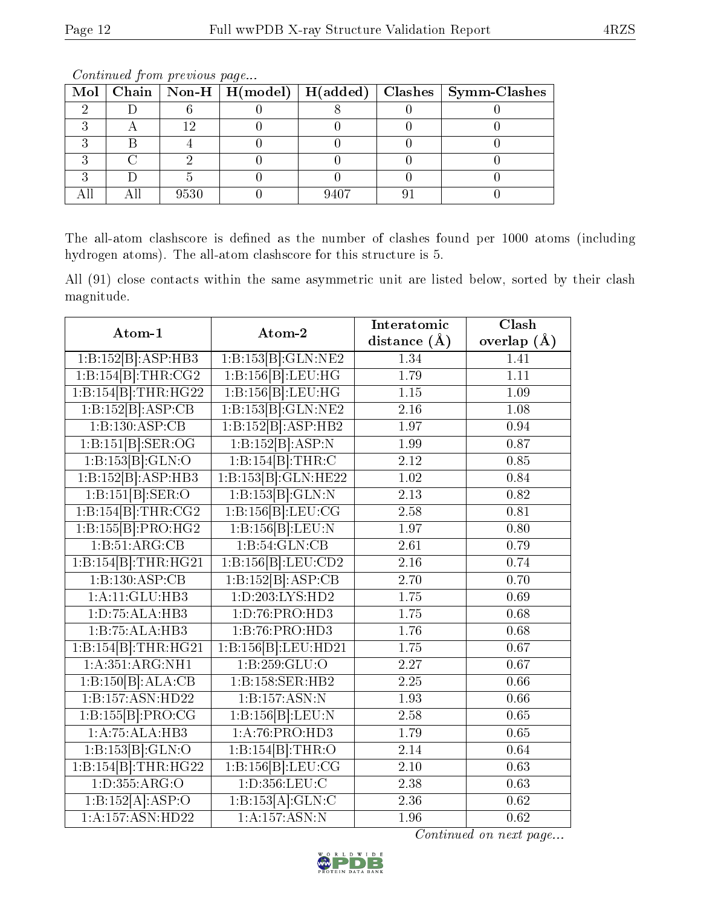|  |      |      | Mol   Chain   Non-H   H(model)   $\overline{H}(added)$   Clashes   Symm-Clashes |
|--|------|------|---------------------------------------------------------------------------------|
|  |      |      |                                                                                 |
|  |      |      |                                                                                 |
|  |      |      |                                                                                 |
|  |      |      |                                                                                 |
|  |      |      |                                                                                 |
|  | 9530 | 9407 |                                                                                 |

The all-atom clashscore is defined as the number of clashes found per 1000 atoms (including hydrogen atoms). The all-atom clashscore for this structure is 5.

All (91) close contacts within the same asymmetric unit are listed below, sorted by their clash magnitude.

| Atom-1                                   | Atom-2                      | Interatomic       | Clash             |
|------------------------------------------|-----------------------------|-------------------|-------------------|
|                                          |                             | distance $(\AA)$  | overlap $(\AA)$   |
| 1:B:152[B]:ASP:HB3                       | 1:B:153[B]:GLN:NE2          | 1.34              | 1.41              |
| 1:B:154[B]:THR:CG2                       | 1:B:156[B]:LEU:HG           | 1.79              | $\overline{1.11}$ |
| 1:B:154[B]:THR:HG22                      | 1:B:156[B]:LEU:HG           | 1.15              | 1.09              |
| 1:B:152[B]:ASP:CB                        | 1:B:153[B]:GLN:NE2          | 2.16              | 1.08              |
| 1:B:130:ASP:CB                           | 1:B:152[B]:ASP:HB2          | 1.97              | 0.94              |
| $1:\overline{B:151[B]:\text{SER}:OG}$    | 1:B:152[B]:ASP:N            | 1.99              | 0.87              |
| 1:B:153[B]:GLN:O                         | 1:B:154[B]:THR:C            | 2.12              | 0.85              |
| 1:B:152[B]:ASP:HB3                       | 1:B:153[B]:GLN:HE22         | 1.02              | 0.84              |
| 1:B:151[B]: <b>SER</b> : <b>O</b>        | 1:B:153[B]:GLN:N            | 2.13              | 0.82              |
| 1:B:154[B]:THR:CG2                       | 1:B:156[B]:LEU:CG           | 2.58              | 0.81              |
| 1:B:155[B]:PRO:HG2                       | 1:B:156[B]:LEU:N            | 1.97              | 0.80              |
| 1:B:51:ARG:CB                            | 1:B:54:GLN:CB               | 2.61              | 0.79              |
| 1:B:154[B]:THR:HG21                      | 1:B:156[B]:LEU:CD2          | 2.16              | 0.74              |
| 1:B:130:ASP:CB                           | 1:B:152[B]:AST:CB           | 2.70              | 0.70              |
| 1:A:11:GLU:HB3                           | 1: D: 203: LYS: HD2         | 1.75              | 0.69              |
| 1: D: 75: ALA: HB3                       | 1: D: 76: PRO: HD3          | $\overline{1.75}$ | 0.68              |
| 1:B:75:ALA:HB3                           | 1:B:76:PRO:HD3              | 1.76              | 0.68              |
| 1:B:154[B]:THR:HG21                      | 1:B:156[B]:LEU:HD21         | 1.75              | $\overline{0.67}$ |
| 1: A:351: ARG: NH1                       | 1:B:259:GLU:O               | 2.27              | 0.67              |
| $1:B:\overline{150 B}:\overline{ALA:CB}$ | 1:B:158:SER:HB2             | 2.25              | 0.66              |
| 1:B:157:ASN:HD22                         | 1:B:157:ASN:N               | 1.93              | 0.66              |
| 1:B:155[B]:PRO:CG                        | 1:B:156[B]:LEU:N            | 2.58              | 0.65              |
| $1:\overline{A:75:ALA:HB3}$              | $1:\overline{A:76:PRO:HD3}$ | 1.79              | 0.65              |
| 1:B:153[B]:GLN:O                         | 1:B:154[B]:THR:O            | 2.14              | 0.64              |
| 1:B:154[B]:THR:HG22                      | 1:B:156[B]:LEU:CG           | 2.10              | 0.63              |
| 1: D: 355: ARG: O                        | 1: D: 356: LEU: C           | 2.38              | 0.63              |
| 1:B:152[A]:ASP:O                         | 1:B:153[A]:GLN:C            | 2.36              | 0.62              |
| 1:A:157:ASN:HD22                         | 1: A: 157: ASN: N           | 1.96              | $\overline{0.62}$ |

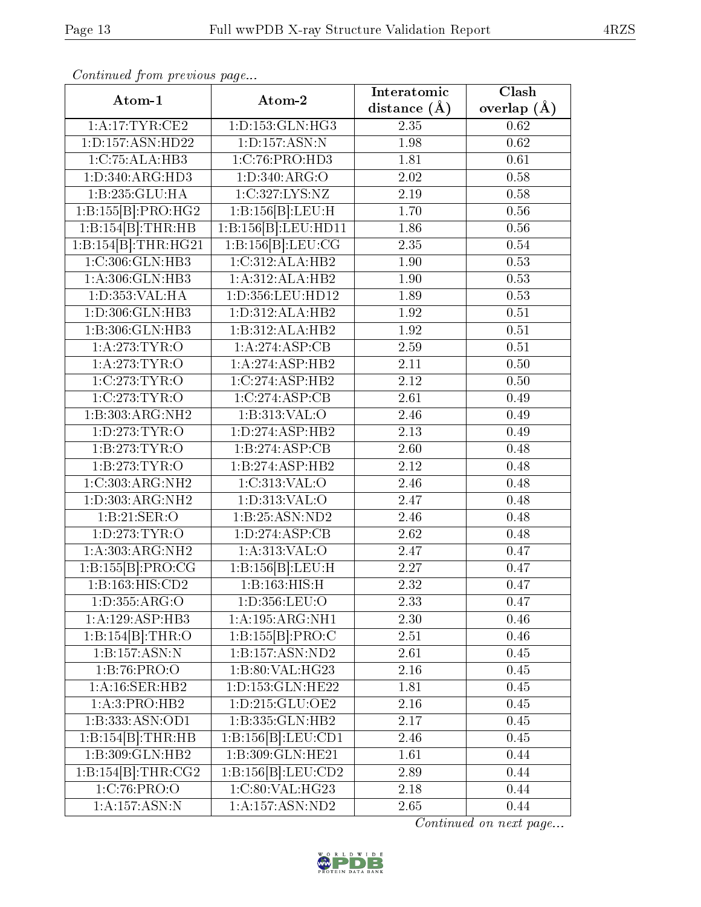| Atom-1                     | Atom-2                        | Interatomic      | $\overline{\text{Clash}}$ |  |
|----------------------------|-------------------------------|------------------|---------------------------|--|
|                            |                               | distance $(\AA)$ | overlap $(\AA)$           |  |
| 1: A:17:TYR:CE2            | 1: D: 153: GLN: HG3           | 2.35             | $\overline{0.62}$         |  |
| 1:D:157:ASN:HD22           | 1: D: 157: ASN: N             | 1.98             | 0.62                      |  |
| 1: C: 75: ALA: HB3         | 1:C:76:PRO:HD3                | 1.81             | 0.61                      |  |
| 1: D: 340: ARG: HD3        | 1:D:340:ARG:O                 | 2.02             | 0.58                      |  |
| 1:B:235:GLU:HA             | 1:C:327:LYS:NZ                | 2.19             | 0.58                      |  |
| 1:B:155[B]:PRO:HG2         | 1:B:156[B]:LEU:H              | 1.70             | 0.56                      |  |
| 1:B:154[B]:THR:HB          | 1:B:156[B]:LEU:HD11           | 1.86             | 0.56                      |  |
| 1:B:154[B]:THR:HG21        | 1:B:156[B]:LEU:CG             | 2.35             | 0.54                      |  |
| 1:C:306:GLN:HB3            | 1:C:312:ALA:HB2               | 1.90             | 0.53                      |  |
| 1:A:306:GLN:HB3            | 1:A:312:ALA:HB2               | 1.90             | 0.53                      |  |
| 1:D:353:VAL:HA             | 1:D:356:LEU:HD12              | 1.89             | 0.53                      |  |
| 1: D: 306: GLN: HB3        | 1: D: 312: ALA: HB2           | 1.92             | 0.51                      |  |
| 1:B:306:GLN:HB3            | 1:B:312:ALA:HB2               | 1.92             | $0.51\,$                  |  |
| 1: A:273: TYR:O            | 1:A:274:ASP:CB                | 2.59             | 0.51                      |  |
| 1: A:273:TYR:O             | 1:A:274:ASP:HB2               | 2.11             | 0.50                      |  |
| 1:C:273:TYR:O              | 1:C:274:ASP:HB2               | 2.12             | 0.50                      |  |
| 1:C:273:TYR:O              | 1:C:274:ASP:CB                | 2.61             | 0.49                      |  |
| 1:B:303:ARG:NH2            | 1:B:313:VAL:O                 | 2.46             | 0.49                      |  |
| 1:D:273:TYR:O              | 1:D:274:ASP:HB2               | 2.13             | 0.49                      |  |
| 1:B:273:TYR:O              | 1:B:274:ASP:CB                | 2.60             | 0.48                      |  |
| 1:B:273:TYR:O              | 1:B:274:ASP:HB2               | 2.12             | 0.48                      |  |
| 1:C:303:ARG:NH2            | 1:C:313:VAL:O                 | 2.46             | 0.48                      |  |
| 1: D: 303: ARG: NH2        | 1:D:313:VAL:O                 | 2.47             | 0.48                      |  |
| 1:B:21:SER:O               | 1:B:25:ASN:ND2                | 2.46             | 0.48                      |  |
| 1: D: 273: TYR: O          | 1:D:274:ASP:CB                | 2.62             | 0.48                      |  |
| 1:A:303:ARG:NH2            | 1: A:313: VAL:O               | 2.47             | 0.47                      |  |
| 1:B:155[B]:PRO:CG          | 1:B:156[B]:LEU:H              | 2.27             | 0.47                      |  |
| 1:B:163:HIS:CD2            | 1:B:163:HIS:H                 | 2.32             | 0.47                      |  |
| 1:D:355:ARG:O              | 1:D:356:LEU:O                 | 2.33             | 0.47                      |  |
| 1: A: 129: ASP: HB3        | 1: A: 195: ARG: NH1           | 2.30             | 0.46                      |  |
| 1:B:154[B]:THR:O           | 1: B:155 B : PRO:C            | 2.51             | 0.46                      |  |
| 1:B:157:ASN:N              | 1:B:157:ASN:ND2               | 2.61             | 0.45                      |  |
| 1: B:76: PRO:O             | 1:B:80:VAL:HG23               | 2.16             | 0.45                      |  |
| 1: A:16: SER:HB2           | 1:D:153:GLN:HE22              | 1.81             | 0.45                      |  |
| 1:A:3:PRO:HB2              | 1: D: 215: GLU: OE2           | 2.16             | 0.45                      |  |
| 1:B:333:ASN:OD1            | 1:B:335:GLN:HB2               | 2.17             | 0.45                      |  |
| $1:B:154[B]:\text{THR:HB}$ | 1:B:156[B]:LEU:CD1            | 2.46             | 0.45                      |  |
| 1:B:309:GLN:HB2            | 1:B:309:GLN:HE21              | 1.61             | 0.44                      |  |
| 1:B:154[B]:THR:CG2         | 1:B:156[B]:LEU:CD2            | 2.89             | 0.44                      |  |
| 1:C:76:PRO:O               | 1:C:80:VAL:HG23               | 2.18             | 0.44                      |  |
| 1:A:157:ASN:N              | $1:A:157: \overline{ASN:ND2}$ | 2.65             | 0.44                      |  |

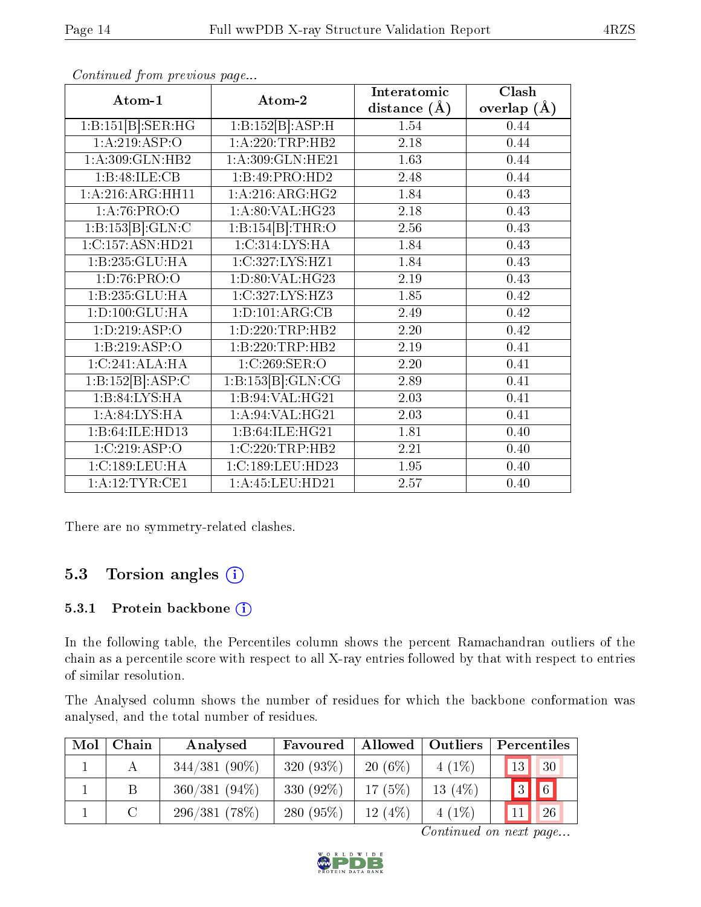| Atom-1                          | Atom-2                         | Interatomic       | $\overline{\text{Clash}}$ |
|---------------------------------|--------------------------------|-------------------|---------------------------|
|                                 |                                | distance $(A)$    | overlap $(\AA)$           |
| 1:B:151[B]:SER:HG               | 1:B:152[B]:ASP:H               | 1.54              | 0.44                      |
| 1:A:219:ASP:O                   | 1:A:220:TRP:HB2                | 2.18              | 0.44                      |
| 1:A:309:GLN:HB2                 | 1:A:309:GLN:HE21               | 1.63              | 0.44                      |
| 1:B:48:ILE:CB                   | 1:B:49:PRO:HD2                 | 2.48              | 0.44                      |
| 1:A:216:ARG:HH11                | 1: A:216:ARG:HG2               | 1.84              | 0.43                      |
| 1:A:76:PRO:O                    | 1:A:80:VAL:HG23                | 2.18              | 0.43                      |
| 1:B:153[B]:GLN:C                | 1:B:154[B]:THR:O               | $\overline{2.56}$ | 0.43                      |
| 1:C:157:ASN:HD21                | 1:C:314:LYS:HA                 | 1.84              | 0.43                      |
| 1:B:235:GLU:HA                  | 1:C:327:LYS:HZ1                | 1.84              | 0.43                      |
| 1:D:76:PRO:O                    | 1:D:80:VAL:HG23                | 2.19              | 0.43                      |
| 1:B:235:GLU:HA                  | 1:C:327:LYS:HZ3                | 1.85              | 0.42                      |
| 1: D: 100: GLU: HA              | 1: D: 101: ARG: CB             | 2.49              | 0.42                      |
| 1:D:219:ASP:O                   | 1: D: 220: TRP: HB2            | 2.20              | 0.42                      |
| 1:B:219:ASP:O                   | 1:B:220:TRP:HB2                | $\overline{2.19}$ | 0.41                      |
| 1:C:241:ALA:HA                  | 1:C:269:SER:O                  | 2.20              | 0.41                      |
| 1:B:152[B]:ASP:C                | $1:B:153\overline{[B]:GLN:CG}$ | 2.89              | 0.41                      |
| 1:B:84:LYS:HA                   | 1:B:94:VAL:HG21                | 2.03              | 0.41                      |
| 1: A:84: LYS:HA                 | 1:A:94:VAL:HG21                | 2.03              | 0.41                      |
| 1:B:64:ILE:HD13                 | $1:B:64:ILE:H\overline{G21}$   | 1.81              | 0.40                      |
| 1:C:219:ASP:O                   | 1:C:220:TRP:HB2                | 2.21              | 0.40                      |
| 1:C:189:LEU:HA                  | 1:C:189:LEU:HD23               | 1.95              | 0.40                      |
| $1: A: 12: TYR: \overline{CE1}$ | 1:A:45:LEU:HD21                | 2.57              | 0.40                      |

There are no symmetry-related clashes.

### 5.3 Torsion angles (i)

#### 5.3.1 Protein backbone (i)

In the following table, the Percentiles column shows the percent Ramachandran outliers of the chain as a percentile score with respect to all X-ray entries followed by that with respect to entries of similar resolution.

The Analysed column shows the number of residues for which the backbone conformation was analysed, and the total number of residues.

| Mol | Chain | Analysed        | Favoured     | Allowed   | Outliers  | Percentiles     |                     |
|-----|-------|-----------------|--------------|-----------|-----------|-----------------|---------------------|
|     |       | $344/381(90\%)$ | 320 $(93\%)$ | $20(6\%)$ | $4(1\%)$  | 13 <sup>°</sup> | $\sqrt{30}$         |
|     |       | $360/381(94\%)$ | 330 (92\%)   | 17(5%)    | 13 $(4%)$ | 3               | $\vert\vert\vert_6$ |
|     |       | 296/381(78%)    | 280 (95%)    | 12(4%)    | $4(1\%)$  |                 | 26                  |

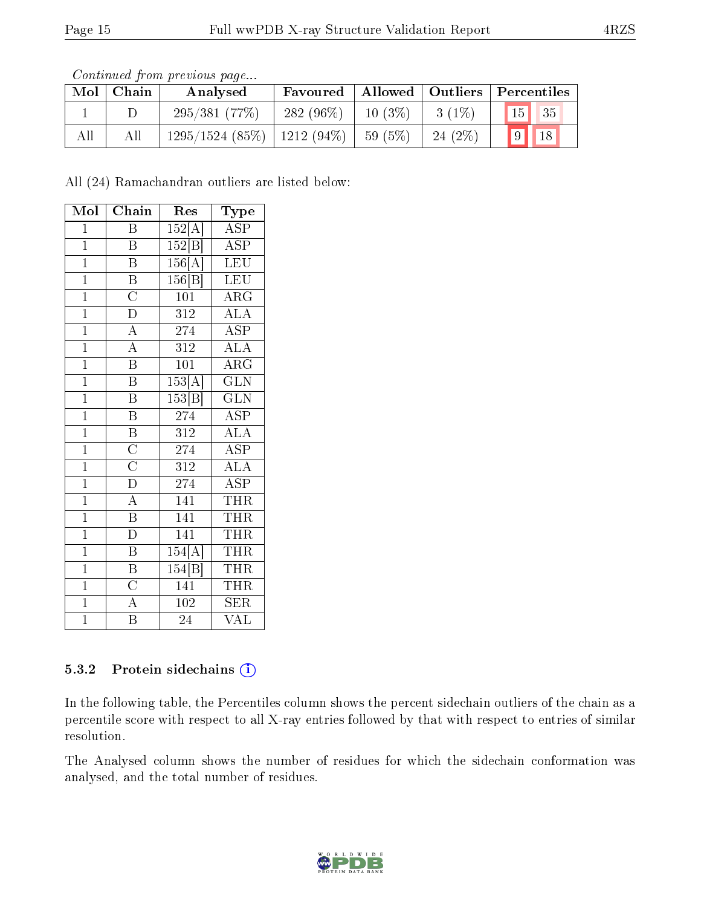| Continued from previous page |  |  |
|------------------------------|--|--|

| Mol | Chain | Analysed                         | Favoured     |           | Allowed   Outliers   Percentiles |                 |            |
|-----|-------|----------------------------------|--------------|-----------|----------------------------------|-----------------|------------|
|     |       | 295/381(77%)                     | $-282(96\%)$ | $10(3\%)$ | $3(1\%)$                         | 15 <sup>1</sup> | $\vert$ 35 |
| All | All   | $1295/1524$ (85\%)   1212 (94\%) |              | 59 (5%)   | $24(2\%)$                        | $\boxed{9}$     | 18         |

All (24) Ramachandran outliers are listed below:

| Mol            | Chain                               | Res              | Type                    |
|----------------|-------------------------------------|------------------|-------------------------|
| $\mathbf{1}$   | $\overline{\mathrm{B}}$             | 152[A]           | $\overline{\text{ASP}}$ |
| $\mathbf{1}$   | $\, {\bf B}$                        | 152 B            | <b>ASP</b>              |
| $\overline{1}$ | $\overline{\mathrm{B}}$             | 156[A]           | $\overline{\text{LEU}}$ |
| $\overline{1}$ | $\overline{\mathrm{B}}$             | 156 B            | LEU                     |
| $\overline{1}$ | $\overline{\rm C}$                  | $\overline{101}$ | $\rm{ARG}$              |
| $\overline{1}$ | $\overline{D}$                      | 312              | $\overline{\rm ALA}$    |
| $\overline{1}$ | $\overline{\rm A}$                  | 274              | <b>ASP</b>              |
| $\overline{1}$ | $\overline{A}$                      | $\overline{312}$ | <b>ALA</b>              |
| $\mathbf{1}$   | $\overline{\mathrm{B}}$             | 101              | $\overline{\rm ARG}$    |
| $\overline{1}$ | $\overline{\mathrm{B}}$             | 153[A]           | $\overline{\text{GLN}}$ |
| $\overline{1}$ | $\overline{\text{B}}$               | 153 B            | $\overline{\text{GLN}}$ |
| $\overline{1}$ | $\overline{\mathrm{B}}$             | 274              | <b>ASP</b>              |
| $\overline{1}$ | $\overline{B}$                      | 312              | $\overline{\text{ALA}}$ |
| $\mathbf{1}$   | $\frac{\overline{C}}{\overline{C}}$ | 274              | <b>ASP</b>              |
| $\overline{1}$ |                                     | $\overline{312}$ | $\overline{\text{ALA}}$ |
| $\overline{1}$ | $\overline{D}$                      | 274              | <b>ASP</b>              |
| $\mathbf{1}$   | $\overline{A}$                      | 141              | <b>THR</b>              |
| $\overline{1}$ | $\overline{B}$                      | 141              | <b>THR</b>              |
| $\mathbf{1}$   | $\overline{D}$                      | 141              | THR                     |
| $\overline{1}$ | $\overline{\mathbf{B}}$             | 154[A]           | THR                     |
| $\mathbf{1}$   | $\overline{B}$                      | 154 B            | <b>THR</b>              |
| $\mathbf{1}$   | $\overline{C}$                      | 141              | THR                     |
| $\overline{1}$ | $\overline{A}$                      | 102              | SER                     |
| $\mathbf{1}$   | $\overline{\mathrm{B}}$             | 24               | VAL                     |

#### 5.3.2 Protein sidechains (i)

In the following table, the Percentiles column shows the percent sidechain outliers of the chain as a percentile score with respect to all X-ray entries followed by that with respect to entries of similar resolution.

The Analysed column shows the number of residues for which the sidechain conformation was analysed, and the total number of residues.

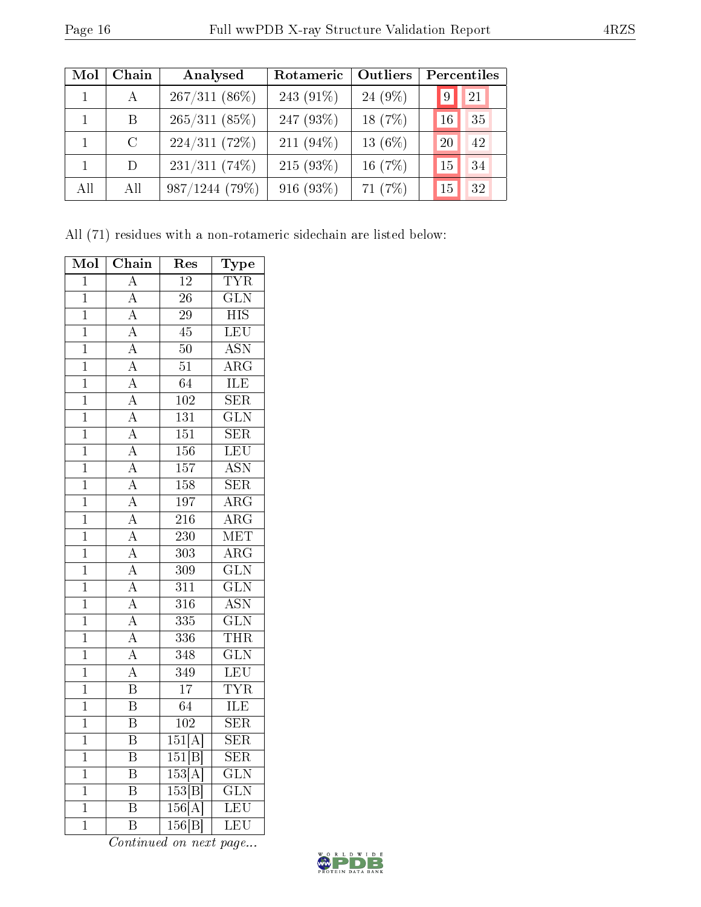| Mol | Chain         | Analysed        | Rotameric    | Outliers  | Percentiles |  |
|-----|---------------|-----------------|--------------|-----------|-------------|--|
|     | $\mathbf{A}$  | $267/311(86\%)$ | 243 (91%)    | $24(9\%)$ | 21<br>9     |  |
|     | B.            | 265/311(85%)    | 247 $(93%)$  | 18 $(7%)$ | 35<br>16    |  |
|     | $\mathcal{C}$ | 224/311(72%)    | 211 $(94\%)$ | 13 $(6%)$ | 42<br>20    |  |
|     | D             | $231/311(74\%)$ | $215(93\%)$  | 16 $(7%)$ | 34<br>15    |  |
| All | All           | 987/1244(79%)   | 916 (93%)    | 71 $(7%)$ | 32<br>15    |  |

All (71) residues with a non-rotameric sidechain are listed below:

| Mol            | Chain                               | Res                 | Type                      |
|----------------|-------------------------------------|---------------------|---------------------------|
| $\overline{1}$ | $\overline{\rm A}$                  | $\overline{12}$     | $\overline{\text{TYR}}$   |
| $\mathbf 1$    | $\overline{\rm A}$                  | $\overline{26}$     | $\overline{\text{GLN}}$   |
| $\overline{1}$ | $\overline{A}$                      | $\overline{29}$     | $\overline{HIS}$          |
| $\mathbf{1}$   | $\overline{A}$                      | 45                  | LEU                       |
| $\overline{1}$ | $\overline{A}$                      | $\overline{50}$     | $\overline{\mathrm{ASN}}$ |
| $\overline{1}$ | $\overline{A}$                      | $\overline{51}$     | $\overline{\rm{ARG}}$     |
| $\overline{1}$ | $\overline{A}$                      | $\overline{64}$     | ILE                       |
| $\overline{1}$ | $\overline{A}$                      | $\overline{102}$    | $\overline{\text{SER}}$   |
| $\overline{1}$ | $\overline{A}$                      | $\overline{131}$    | $\overline{\text{GLN}}$   |
| $\overline{1}$ | $\overline{A}$                      | $\overline{151}$    | $\overline{\text{SER}}$   |
| $\overline{1}$ | $\overline{A}$                      | $\overline{156}$    | LEU                       |
| $\mathbf{1}$   | $\overline{A}$                      | 157                 | <b>ASN</b>                |
| $\overline{1}$ |                                     | 158                 | $\overline{\text{SER}}$   |
| $\overline{1}$ | $\frac{\overline{A}}{A}$            | 197                 | $\overline{\rm{ARG}}$     |
| $\overline{1}$ | $\overline{A}$                      | $\overline{216}$    | $\overline{\rm{ARG}}$     |
| $\overline{1}$ | $\overline{A}$                      | 230                 | $\overline{\text{MET}}$   |
| $\overline{1}$ | $\overline{A}$                      | $\overline{303}$    | $\overline{\rm{ARG}}$     |
| $\overline{1}$ |                                     | $\overline{309}$    | $\overline{\text{GLN}}$   |
| $\overline{1}$ | $\frac{\overline{A}}{\overline{A}}$ | 311                 | $\overline{\text{GLN}}$   |
| $\overline{1}$ | $\overline{A}$                      | 316                 | <b>ASN</b>                |
| $\mathbf 1$    | $\boldsymbol{A}$                    | 335                 | $\overline{\text{GLN}}$   |
| $\overline{1}$ | $\overline{\rm A}$                  | $\overline{336}$    | THR                       |
| $\mathbf 1$    | $\overline{A}$                      | $\overline{348}$    | $\overline{\text{GLN}}$   |
| $\overline{1}$ | $\overline{A}$                      | $\overline{349}$    | LEU                       |
| $\overline{1}$ | $\overline{\mathrm{B}}$             | $\overline{17}$     | <b>TYR</b>                |
| $\mathbf 1$    | $\overline{\mathrm{B}}$             | $\overline{64}$     | ILE                       |
| $\overline{1}$ | $\overline{\mathrm{B}}$             | $\overline{102}$    | $\overline{\rm SER}$      |
| $\mathbf{1}$   | $\overline{\mathrm{B}}$             | 151[A]              | $\overline{\text{SER}}$   |
| $\mathbf{1}$   | $\overline{\mathrm{B}}$             | 151[B]              | $\overline{\text{SER}}$   |
| $\overline{1}$ | $\overline{\mathrm{B}}$             | 153[A]              | $\overline{\text{GLN}}$   |
| $\mathbf 1$    | $\overline{\mathrm{B}}$             | 153 B               | $\overline{\text{GLN}}$   |
| $\overline{1}$ | $\overline{\mathrm{B}}$             | 156[A]              | <b>LEU</b>                |
| $\overline{1}$ | $\overline{\mathrm{B}}$             | $\overline{156 B }$ | LEU                       |

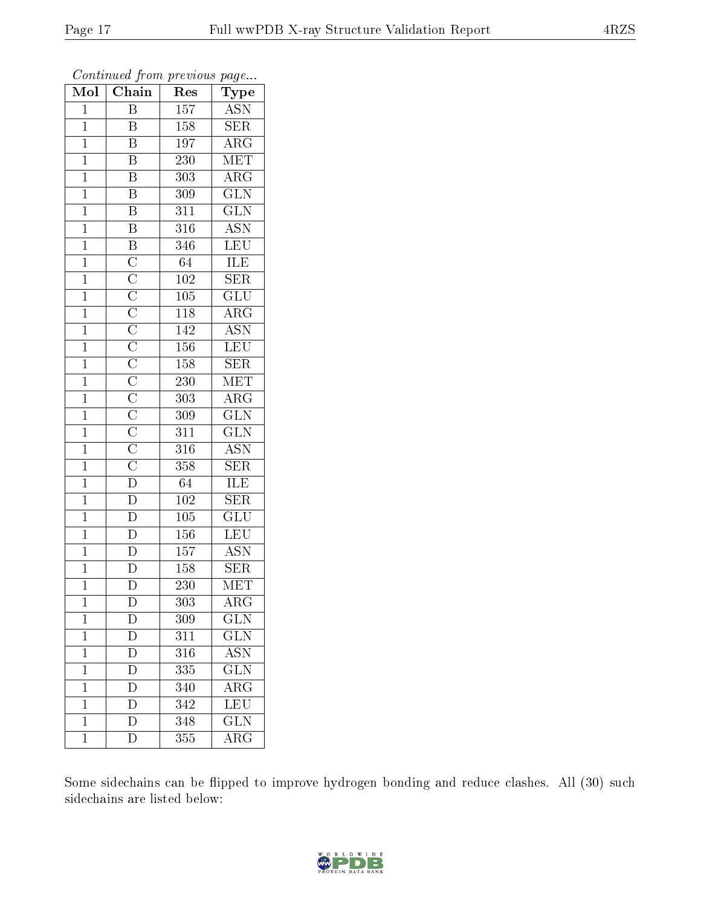| Mol            | $\overline{\text{Chain}}$                                                                                                                                                                                                                                               | $\mathbf{r}$ , $\circ \circ \circ \circ \circ \circ \circ$<br>Res | $1 - \epsilon$<br>Type    |
|----------------|-------------------------------------------------------------------------------------------------------------------------------------------------------------------------------------------------------------------------------------------------------------------------|-------------------------------------------------------------------|---------------------------|
| $\mathbf{1}$   | $\overline{\mathrm{B}}$                                                                                                                                                                                                                                                 | 157                                                               | <b>ASN</b>                |
| $\mathbf{1}$   | $\overline{\mathrm{B}}$                                                                                                                                                                                                                                                 | 158                                                               | <b>SER</b>                |
| $\mathbf{1}$   | $\overline{\mathrm{B}}$                                                                                                                                                                                                                                                 | 197                                                               | $\rm{ARG}$                |
| $\mathbf{1}$   | B                                                                                                                                                                                                                                                                       | 230                                                               | MET                       |
| $\mathbf 1$    | $\overline{\mathrm{B}}$                                                                                                                                                                                                                                                 | 303                                                               | $\overline{\rm{ARG}}$     |
| $\mathbf{1}$   | $\overline{\mathrm{B}}$                                                                                                                                                                                                                                                 | 309                                                               | $\overline{\text{GLN}}$   |
| $\mathbf{1}$   | $\overline{\mathrm{B}}$                                                                                                                                                                                                                                                 | 311                                                               | $\widetilde{{\rm GLN}}$   |
| $\mathbf{1}$   | $\overline{\mathrm{B}}$                                                                                                                                                                                                                                                 | 316                                                               | $\rm \overline{ASN}$      |
| $\mathbf{1}$   | $\overline{\mathrm{B}}$                                                                                                                                                                                                                                                 | 346                                                               | LEU                       |
| $\overline{1}$ | $\overline{C}$                                                                                                                                                                                                                                                          | 64                                                                | $\overline{\text{ILE}}$   |
| $\mathbf 1$    |                                                                                                                                                                                                                                                                         | 102                                                               | SER                       |
| $\overline{1}$ | $\overline{\text{C}}$ $\overline{\text{C}}$ $\overline{\text{C}}$ $\overline{\text{C}}$ $\overline{\text{C}}$ $\overline{\text{C}}$ $\overline{\text{C}}$ $\overline{\text{C}}$ $\overline{\text{C}}$ $\overline{\text{C}}$ $\overline{\text{C}}$ $\overline{\text{D}}$ | $\overline{105}$                                                  | $\overline{\text{GLU}}$   |
| $\mathbf{1}$   |                                                                                                                                                                                                                                                                         | 118                                                               | $\rm{ARG}$                |
| $\mathbf 1$    |                                                                                                                                                                                                                                                                         | 142                                                               | <b>ASN</b>                |
| $\mathbf{1}$   |                                                                                                                                                                                                                                                                         | 156                                                               | <b>LEU</b>                |
| $\overline{1}$ |                                                                                                                                                                                                                                                                         | 158                                                               | <b>SER</b>                |
| $\overline{1}$ |                                                                                                                                                                                                                                                                         | 230                                                               | $\overline{\text{MET}}$   |
| $\mathbf 1$    |                                                                                                                                                                                                                                                                         | 303                                                               | $\rm{ARG}$                |
| $\mathbf{1}$   |                                                                                                                                                                                                                                                                         | 309                                                               | $\overline{\text{GLN}}$   |
| $\mathbf{1}$   |                                                                                                                                                                                                                                                                         | 311                                                               | $\overline{\text{GLN}}$   |
| $\mathbf{1}$   |                                                                                                                                                                                                                                                                         | 316                                                               | <b>ASN</b>                |
| $\mathbf 1$    |                                                                                                                                                                                                                                                                         | 358                                                               | $\overline{\text{SER}}$   |
| $\mathbf{1}$   |                                                                                                                                                                                                                                                                         | 64                                                                | ILE                       |
| $\mathbf 1$    | $\overline{D}$                                                                                                                                                                                                                                                          | 102                                                               | $\overline{\text{SER}}$   |
| $\mathbf 1$    | $\overline{\rm D}$                                                                                                                                                                                                                                                      | 105                                                               | $\overline{\text{GLU}}$   |
| $\overline{1}$ | $\overline{\rm D}$                                                                                                                                                                                                                                                      | 156                                                               | LEU                       |
| $\overline{1}$ | $\overline{\rm D}$                                                                                                                                                                                                                                                      | 157                                                               | $\overline{\mathrm{ASN}}$ |
| $\mathbf{1}$   | D                                                                                                                                                                                                                                                                       | 158                                                               | $\overline{\text{SER}}$   |
| $\overline{1}$ | $\overline{\rm D}$                                                                                                                                                                                                                                                      | $\overline{230}$                                                  | MET                       |
| 1              | D                                                                                                                                                                                                                                                                       | 303                                                               | $\rm{ARG}$                |
| $\mathbf 1$    | D                                                                                                                                                                                                                                                                       | 309                                                               | $\overline{{\rm GLN}}$    |
| $\mathbf{1}$   | $\overline{D}$                                                                                                                                                                                                                                                          | 311                                                               | GLN                       |
| $\mathbf 1$    | $\bar{\rm D}$                                                                                                                                                                                                                                                           | 316                                                               | $\overline{\mathrm{ASN}}$ |
| $\mathbf 1$    | $\overline{\rm D}$                                                                                                                                                                                                                                                      | 335                                                               | $\overline{\text{GLN}}$   |
| $\mathbf{1}$   | $\bar{\rm D}$                                                                                                                                                                                                                                                           | 340                                                               | ARG                       |
| $\mathbf 1$    | $\overline{\rm D}$                                                                                                                                                                                                                                                      | $\overline{342}$                                                  | $\overline{\text{LEU}}$   |
| 1              | $\overline{\rm D}$                                                                                                                                                                                                                                                      | 348                                                               | $\overline{\text{GLN}}$   |
| $\mathbf 1$    | ${\rm D}$                                                                                                                                                                                                                                                               | 355                                                               | $\rm{ARG}$                |

Some sidechains can be flipped to improve hydrogen bonding and reduce clashes. All (30) such sidechains are listed below:

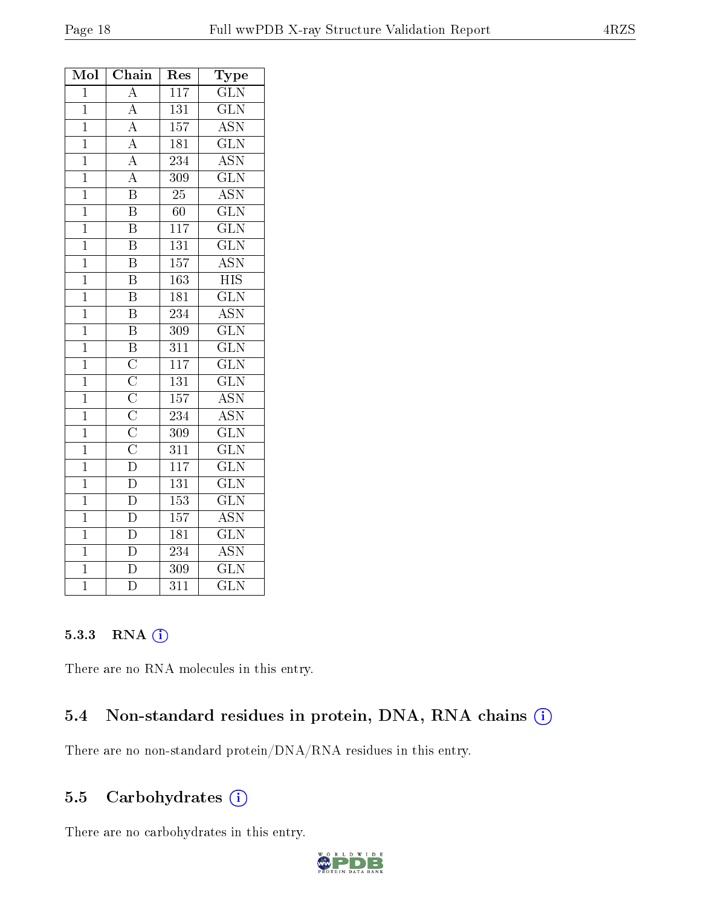| Mol            | Chain                                                                   | $\operatorname{Res}% \left( \mathcal{N}\right) \equiv\operatorname{Res}(\mathcal{N}_{0})\left( \mathcal{N}_{0}\right) ^{2}$ | $\bf Type$                |
|----------------|-------------------------------------------------------------------------|-----------------------------------------------------------------------------------------------------------------------------|---------------------------|
| $\mathbf{1}$   | $\overline{\rm A}$                                                      | $\overline{117}$                                                                                                            | $\overline{\text{GLN}}$   |
| $\overline{1}$ | $\overline{A}$                                                          | $\overline{131}$                                                                                                            | GLN                       |
| $\mathbf{1}$   | $\overline{A}$                                                          | 157                                                                                                                         | <b>ASN</b>                |
| $\overline{1}$ | $\overline{A}$                                                          | 181                                                                                                                         | $\overline{\text{GLN}}$   |
| $\mathbf{1}$   | $\frac{\overline{A}}{\overline{A}}$                                     | $\overline{2}34$                                                                                                            | $\rm \overline{ASN}$      |
| $\mathbf 1$    |                                                                         | 309                                                                                                                         | $\overline{\text{GLN}}$   |
| $\overline{1}$ | $\overline{\mathbf{B}}$                                                 | $\overline{25}$                                                                                                             | <b>ASN</b>                |
| $\overline{1}$ | $\overline{\mathrm{B}}$                                                 | 60                                                                                                                          | $\overline{\text{GLN}}$   |
| $\overline{1}$ | $\overline{\mathrm{B}}$                                                 | 117                                                                                                                         | $\overline{\text{GLN}}$   |
| $\mathbf{1}$   | $\overline{\mathrm{B}}$                                                 | 131                                                                                                                         | $\overline{\text{GLN}}$   |
| $\overline{1}$ | $\overline{\mathrm{B}}$                                                 | $\overline{157}$                                                                                                            | $\overline{\mathrm{ASN}}$ |
| $\mathbf{1}$   | $\bar{\text{B}}$                                                        | 163                                                                                                                         | <b>HIS</b>                |
| $\mathbf 1$    | $\overline{\mathrm{B}}$                                                 | 181                                                                                                                         | $\overline{\text{GLN}}$   |
| $\overline{1}$ | $\overline{\mathbf{B}}$                                                 | 234                                                                                                                         | $\overline{\mathrm{ASN}}$ |
| $\mathbf{1}$   | $\overline{\mathrm{B}}$                                                 | 309                                                                                                                         | $\overline{\text{GLN}}$   |
| $\overline{1}$ | $\overline{\mathbf{B}}$                                                 | $\overline{311}$                                                                                                            | $\overline{\text{GLN}}$   |
| $\mathbf 1$    | $\overline{\text{C}}$                                                   | $\overline{117}$                                                                                                            | $\overline{\text{GLN}}$   |
| $\overline{1}$ | $\overline{\rm C}$                                                      | $\overline{131}$                                                                                                            | $\overline{\text{GLN}}$   |
| $\mathbf{1}$   |                                                                         | 157                                                                                                                         | $\overline{\text{ASN}}$   |
| $\mathbf{1}$   |                                                                         | 234                                                                                                                         | $\overline{\mathrm{ASN}}$ |
| $\overline{1}$ | $\frac{\overline{C}}{\overline{C}}$ $\frac{\overline{C}}{\overline{C}}$ | 309                                                                                                                         | $\overline{\text{GLN}}$   |
| $\mathbf{1}$   |                                                                         | 311                                                                                                                         | GLN                       |
| $\overline{1}$ | $\overline{\rm D}$                                                      | $\overline{117}$                                                                                                            | $\overline{\text{GLN}}$   |
| $\mathbf{1}$   | $\overline{\rm D}$                                                      | 131                                                                                                                         | $\overline{\text{GLN}}$   |
| $\overline{1}$ | $\overline{\rm D}$                                                      | 153                                                                                                                         | $\overline{\text{GLN}}$   |
| $\mathbf{1}$   | $\overline{D}$                                                          | $\overline{157}$                                                                                                            | $\overline{\text{ASN}}$   |
| $\mathbf 1$    | $\overline{\rm D}$                                                      | 181                                                                                                                         | $\overline{\text{GLN}}$   |
| $\mathbf{1}$   | $\overline{\rm D}$                                                      | 234                                                                                                                         | $\overline{\mathrm{ASN}}$ |
| $\mathbf{1}$   | $\overline{\rm D}$                                                      | 309                                                                                                                         | $\overline{\text{GLN}}$   |
| $\bar{1}$      | $\overline{\rm D}$                                                      | $\overline{311}$                                                                                                            | $\overline{\text{GLN}}$   |

#### 5.3.3 RNA [O](https://www.wwpdb.org/validation/2017/XrayValidationReportHelp#rna)i

There are no RNA molecules in this entry.

### 5.4 Non-standard residues in protein, DNA, RNA chains (i)

There are no non-standard protein/DNA/RNA residues in this entry.

### 5.5 Carbohydrates  $(i)$

There are no carbohydrates in this entry.

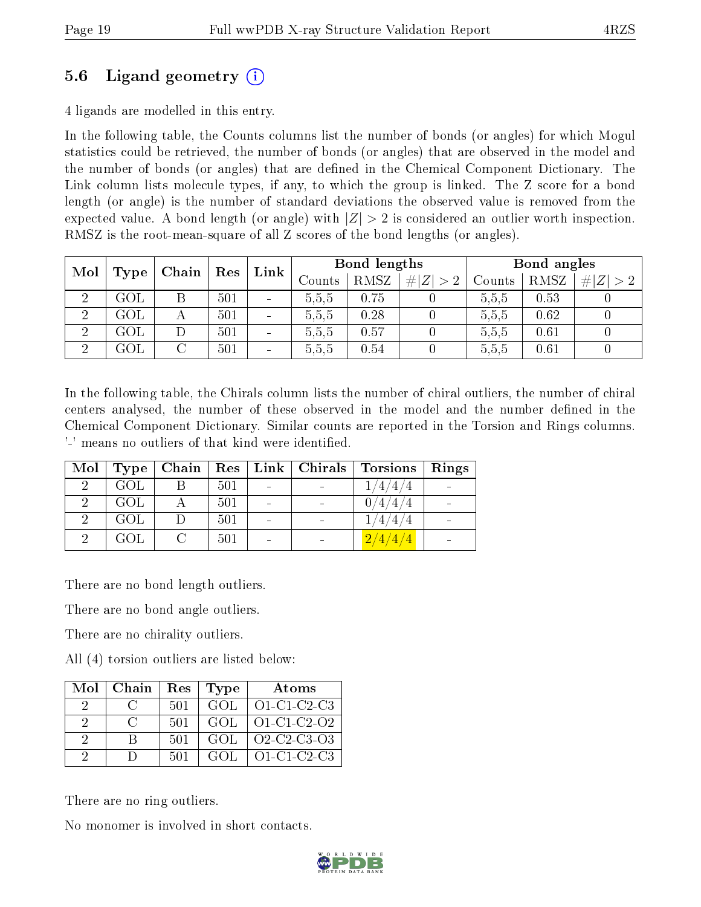### 5.6 Ligand geometry (i)

4 ligands are modelled in this entry.

In the following table, the Counts columns list the number of bonds (or angles) for which Mogul statistics could be retrieved, the number of bonds (or angles) that are observed in the model and the number of bonds (or angles) that are dened in the Chemical Component Dictionary. The Link column lists molecule types, if any, to which the group is linked. The Z score for a bond length (or angle) is the number of standard deviations the observed value is removed from the expected value. A bond length (or angle) with  $|Z| > 2$  is considered an outlier worth inspection. RMSZ is the root-mean-square of all Z scores of the bond lengths (or angles).

| Mol | Res<br>Chain |   | Link | Bond lengths             |                   |      | Bond angles |        |      |   |
|-----|--------------|---|------|--------------------------|-------------------|------|-------------|--------|------|---|
|     | Type         |   |      |                          | $\mathrm{Counts}$ | RMSZ | # $ Z  > 2$ | Counts | RMSZ | # |
| ച   | GOL          | Β | 501  | $\overline{\phantom{a}}$ | 5.5,5             | 0.75 |             | 5,5,5  | 0.53 |   |
| ച   | $\rm GOL$    |   | 501  | $\overline{\phantom{a}}$ | 5,5,5             | 0.28 |             | 5.5.5  | 0.62 |   |
| ച   | GOL          |   | 501  | $\qquad \qquad$          | 5,5,5             | 0.57 |             | 5.5.5  | 0.61 |   |
| ച   | $\rm GOL$    |   | 501  | $\overline{\phantom{a}}$ | 5,5,5             | 0.54 |             | 5,5,5  | 0.61 |   |

In the following table, the Chirals column lists the number of chiral outliers, the number of chiral centers analysed, the number of these observed in the model and the number defined in the Chemical Component Dictionary. Similar counts are reported in the Torsion and Rings columns. '-' means no outliers of that kind were identified.

| Mol | Type | Chain |     | $\mid$ Res $\mid$ Link $\mid$ Chirals $\mid$ | Torsions            | Rings |
|-----|------|-------|-----|----------------------------------------------|---------------------|-------|
|     | GOL  |       | 501 |                                              | '4/<br>$\mathbf{4}$ |       |
|     | GOL  |       | 501 |                                              |                     |       |
|     | GOL  |       | 501 |                                              | $\overline{4}$      |       |
|     | GOL  |       | 501 |                                              |                     |       |

There are no bond length outliers.

There are no bond angle outliers.

There are no chirality outliers.

All (4) torsion outliers are listed below:

| Mol | Chain | Res | Type | Atoms         |
|-----|-------|-----|------|---------------|
|     |       | 501 | GOL  | $O1-C1-C2-C3$ |
| 9.  |       | 501 | GOL  | $O1-C1-C2-O2$ |
| 2   | R     | 501 | GOL. | Q2-C2-C3-Q3   |
| 9   |       | 501 | GOL. | $O1-C1-C2-C3$ |

There are no ring outliers.

No monomer is involved in short contacts.

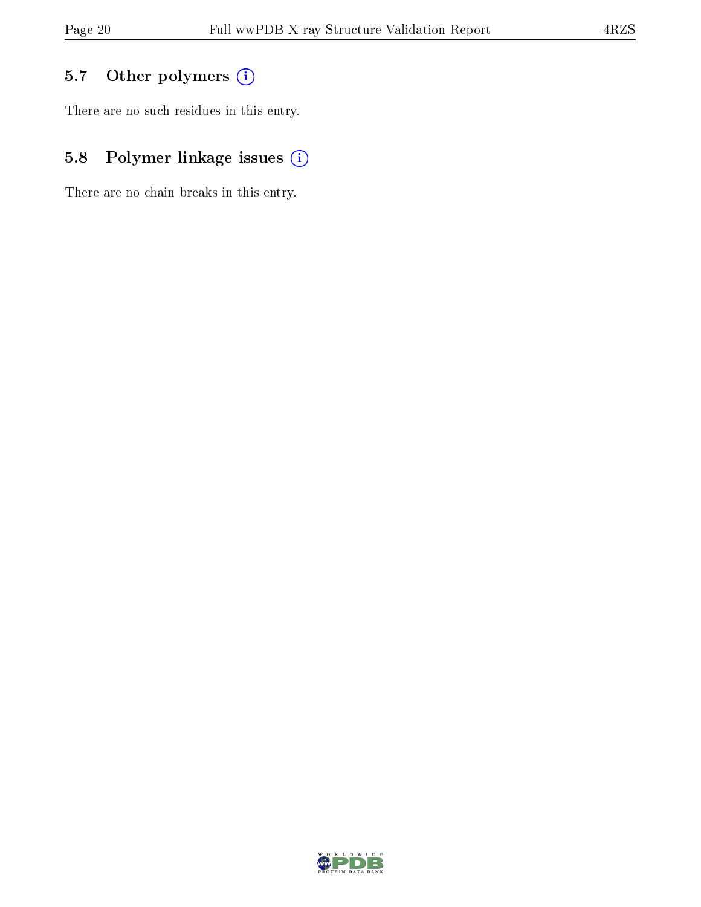# 5.7 [O](https://www.wwpdb.org/validation/2017/XrayValidationReportHelp#nonstandard_residues_and_ligands)ther polymers (i)

There are no such residues in this entry.

# 5.8 Polymer linkage issues (i)

There are no chain breaks in this entry.

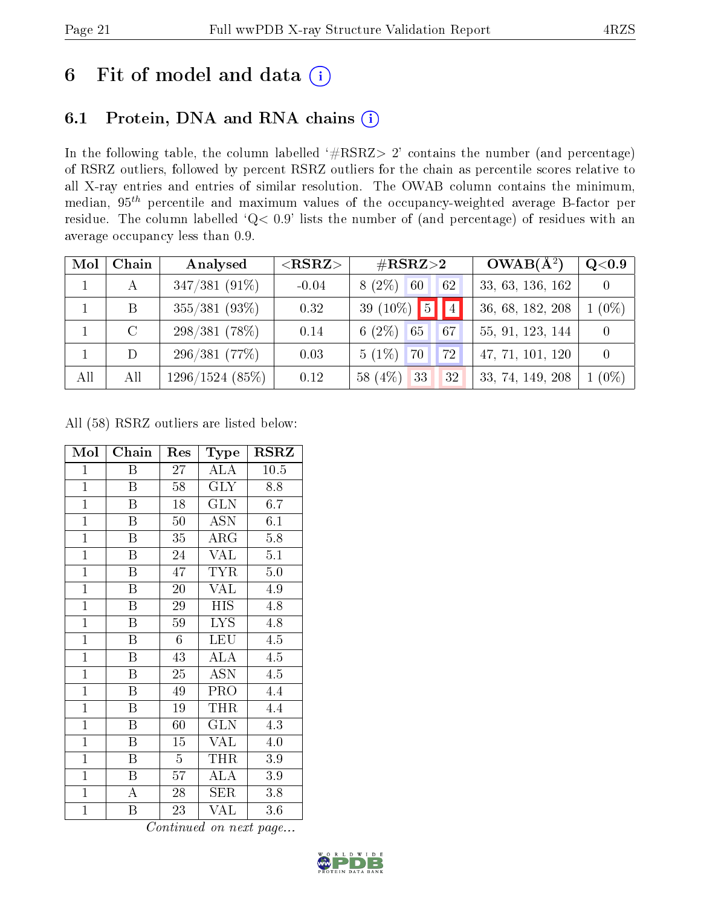# 6 Fit of model and data  $(i)$

# 6.1 Protein, DNA and RNA chains  $(i)$

In the following table, the column labelled  $#RSRZ> 2'$  contains the number (and percentage) of RSRZ outliers, followed by percent RSRZ outliers for the chain as percentile scores relative to all X-ray entries and entries of similar resolution. The OWAB column contains the minimum, median,  $95<sup>th</sup>$  percentile and maximum values of the occupancy-weighted average B-factor per residue. The column labelled ' $Q< 0.9$ ' lists the number of (and percentage) of residues with an average occupancy less than 0.9.

| Mol | Chain   | Analysed          | $<$ RSRZ $>$ | $\#\text{RSRZ}{>}2$                | $OWAB(A^2)$      | $\mathrm{Q}{<}0.9$ |
|-----|---------|-------------------|--------------|------------------------------------|------------------|--------------------|
|     |         | $347/381(91\%)$   | $-0.04$      | $8(2\%)$<br> 60 <br>62             | 33, 63, 136, 162 |                    |
|     | B       | $355/381$ (93\%)  | 0.32         | 39 (10%) $\boxed{5}$ $\boxed{4}$   | 36, 68, 182, 208 | $1(0\%)$           |
|     | $\rm C$ | $298/381(78\%)$   | 0.14         | 6 $(2\%)$<br>65<br>67 <sub>1</sub> | 55, 91, 123, 144 |                    |
|     | D       | 296/381(77%)      | 0.03         | $5(1\%)$<br>72<br>$\sqrt{70}$      | 47, 71, 101, 120 |                    |
| All | All     | $1296/1524$ (85%) | 0.12         | $58(4\%)$<br>33<br>32              | 33, 74, 149, 208 | $1(0\%)$           |

All (58) RSRZ outliers are listed below:

| Mol            | Chain                     | Res            | Type       | $_{\rm RSRZ}$ |
|----------------|---------------------------|----------------|------------|---------------|
| $\mathbf{1}$   | Β                         | $27\,$         | ALA        | 10.5          |
| $\overline{1}$ | $\overline{B}$            | 58             | <b>GLY</b> | 8.8           |
| $\mathbf{1}$   | B                         | 18             | <b>GLN</b> | 6.7           |
| $\mathbf{1}$   | B                         | $50\,$         | <b>ASN</b> | 6.1           |
| $\overline{1}$ | $\boldsymbol{B}$          | 35             | $\rm{ARG}$ | 5.8           |
| $\mathbf{1}$   | B                         | $24\,$         | VAL        | 5.1           |
| $\mathbf{1}$   | $\, {\bf B}$              | 47             | <b>TYR</b> | 5.0           |
| $\mathbf{1}$   | B                         | 20             | VAL        | 4.9           |
| $\overline{1}$ | $\boldsymbol{B}$          | 29             | <b>HIS</b> | 4.8           |
| $\mathbf{1}$   | $\boldsymbol{\mathrm{B}}$ | 59             | <b>LYS</b> | 4.8           |
| $\overline{1}$ | $\boldsymbol{B}$          | $6\phantom{.}$ | <b>LEU</b> | 4.5           |
| $\overline{1}$ | $\overline{\mathrm{B}}$   | 43             | <b>ALA</b> | 4.5           |
| $\overline{1}$ | $\boldsymbol{B}$          | 25             | <b>ASN</b> | 4.5           |
| $\mathbf{1}$   | $\boldsymbol{B}$          | 49             | PRO        | 4.4           |
| $\mathbf{1}$   | Β                         | 19             | THR        | 4.4           |
| $\overline{1}$ | $\overline{B}$            | 60             | <b>GLN</b> | 4.3           |
| $\overline{1}$ | $\boldsymbol{B}$          | 15             | <b>VAL</b> | 4.0           |
| $\mathbf{1}$   | B                         | $\overline{5}$ | THR        | 3.9           |
| $\mathbf{1}$   | $\boldsymbol{B}$          | 57             | ALA        | 3.9           |
| $\mathbf{1}$   | A                         | 28             | $\rm{SER}$ | 3.8           |
| $\mathbf{1}$   | B                         | 23             | <b>VAL</b> | 3.6           |

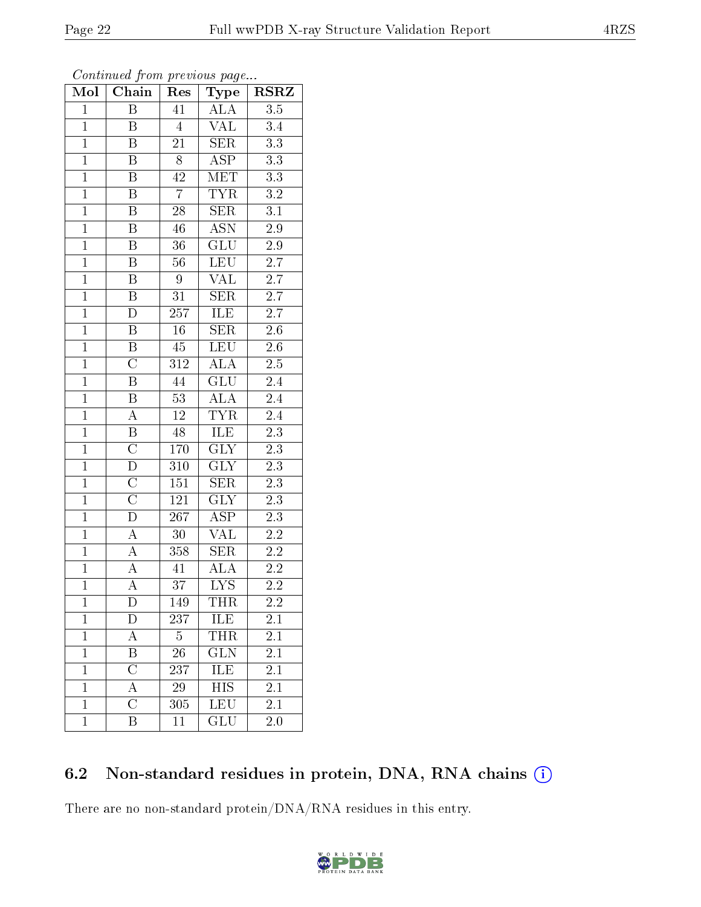| Mol            | Chain                   | Res              | Type                    | <b>RSRZ</b>      |  |
|----------------|-------------------------|------------------|-------------------------|------------------|--|
| $\mathbf 1$    | Β                       | 41               | <b>ALA</b>              | 3.5              |  |
| $\overline{1}$ | Β                       | $\overline{4}$   | VAL                     | $\overline{3}.4$ |  |
| $\overline{1}$ | Β                       | 21               | <b>SER</b>              | $\overline{3.3}$ |  |
| $\overline{1}$ | B                       | $\overline{8}$   | $\overline{\text{ASP}}$ | $\overline{3.3}$ |  |
| $\overline{1}$ | $\overline{\mathrm{B}}$ | $\overline{42}$  | $\overline{\text{MET}}$ | $\overline{3.3}$ |  |
| $\mathbf{1}$   | B                       | $\overline{7}$   | $\overline{\text{TYR}}$ | $3.2\,$          |  |
| $\mathbf{1}$   | $\, {\bf B}$            | $\overline{28}$  | SER                     | 3.1              |  |
| $\overline{1}$ | B                       | 46               | <b>ASN</b>              | $\overline{2.9}$ |  |
| $\overline{1}$ | $\, {\bf B}$            | $\overline{36}$  | $\overline{\text{GLU}}$ | $\overline{2.9}$ |  |
| $\overline{1}$ | $\overline{\mathrm{B}}$ | $\overline{56}$  | LEU                     | $\overline{2.7}$ |  |
| $\mathbf{1}$   | Β                       | $\boldsymbol{9}$ | VAL                     | $2.7\,$          |  |
| $\overline{1}$ | B                       | $3\sqrt{1}$      | $\overline{\text{SER}}$ | $2.7\,$          |  |
| $\overline{1}$ | $\overline{D}$          | $\overline{257}$ | ILE                     | $\overline{2.7}$ |  |
| $\overline{1}$ | $\, {\bf B}$            | $16\,$           | <b>SER</b>              | $2.6\,$          |  |
| $\overline{1}$ | $\overline{\mathrm{B}}$ | $\overline{45}$  | $\overline{\text{LEU}}$ | $\overline{2.6}$ |  |
| $\mathbf{1}$   | $\overline{C}$          | 312              | <b>ALA</b>              | $2.\overline{5}$ |  |
| $\overline{1}$ | $\overline{\mathrm{B}}$ | 44               | $\overline{\text{GLU}}$ | $\overline{2.4}$ |  |
| $\overline{1}$ | Β                       | 53               | <b>ALA</b>              | $\overline{2.4}$ |  |
| $\overline{1}$ | A                       | $\overline{12}$  | $\overline{\text{TYR}}$ | 2.4              |  |
| $\overline{1}$ | $\overline{\mathrm{B}}$ | 48               | <b>ILE</b>              | $\overline{2.3}$ |  |
| $\overline{1}$ | $\overline{\rm C}$      | 170              | $\overline{\text{GLY}}$ | 2.3              |  |
| $\overline{1}$ | $\overline{\rm D}$      | 310              | $\overline{\text{GLY}}$ | $\overline{2.3}$ |  |
| $\overline{1}$ | $\overline{\rm C}$      | 151              | <b>SER</b>              | $2.3\,$          |  |
| $\overline{1}$ | $\overline{\rm C}$      | 121              | $\overline{\text{GLY}}$ | $\overline{2.3}$ |  |
| $\overline{1}$ | $\overline{\rm D}$      | $\overline{267}$ | $\overline{\text{ASP}}$ | 2.3              |  |
| $\mathbf{1}$   | $\overline{A}$          | 30               | <b>VAL</b>              | $2.2\,$          |  |
| $\overline{1}$ | $\overline{A}$          | $\overline{358}$ | SER                     | 2.2              |  |
| $\overline{1}$ | $\overline{\rm A}$      | 41               | <b>ALA</b>              | 2.2              |  |
| $\overline{1}$ | $\overline{\rm A}$      | $\overline{37}$  | $\overline{\text{LYS}}$ | $\overline{2.2}$ |  |
| $\mathbf{1}$   | $\mathbf D$             | 149              | THR                     | 2.2              |  |
| $\mathbf 1$    | $\mathbf D$             | 237              | ILE                     | 2.1              |  |
| $\mathbf{1}$   | $\overline{\rm A}$      | 5                | THR                     | $\overline{2.1}$ |  |
| $\mathbf{1}$   | Β                       | 26               | <b>GLN</b>              | 2.1              |  |
| $\mathbf{1}$   | $\overline{\rm C}$      | 237              | $\overline{\text{ILE}}$ | $\overline{2.1}$ |  |
| $\mathbf 1$    | A                       | $\,29$           | HIS                     | 2.1              |  |
| $\mathbf{1}$   | $\overline{\rm C}$      | $\overline{305}$ | <b>LEU</b>              | 2.1              |  |
| $\mathbf{1}$   | Β                       | 11               | $\overline{\text{GLU}}$ | 2.0              |  |

# 6.2 Non-standard residues in protein, DNA, RNA chains (i)

There are no non-standard protein/DNA/RNA residues in this entry.